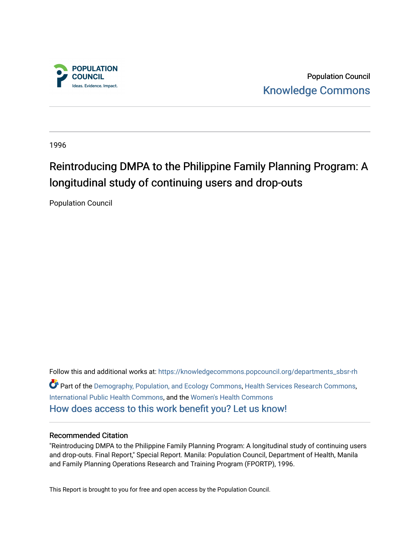

Population Council [Knowledge Commons](https://knowledgecommons.popcouncil.org/) 

1996

# Reintroducing DMPA to the Philippine Family Planning Program: A longitudinal study of continuing users and drop-outs

Population Council

Follow this and additional works at: [https://knowledgecommons.popcouncil.org/departments\\_sbsr-rh](https://knowledgecommons.popcouncil.org/departments_sbsr-rh?utm_source=knowledgecommons.popcouncil.org%2Fdepartments_sbsr-rh%2F2029&utm_medium=PDF&utm_campaign=PDFCoverPages)  Part of the [Demography, Population, and Ecology Commons,](https://network.bepress.com/hgg/discipline/418?utm_source=knowledgecommons.popcouncil.org%2Fdepartments_sbsr-rh%2F2029&utm_medium=PDF&utm_campaign=PDFCoverPages) [Health Services Research Commons,](https://network.bepress.com/hgg/discipline/816?utm_source=knowledgecommons.popcouncil.org%2Fdepartments_sbsr-rh%2F2029&utm_medium=PDF&utm_campaign=PDFCoverPages) [International Public Health Commons](https://network.bepress.com/hgg/discipline/746?utm_source=knowledgecommons.popcouncil.org%2Fdepartments_sbsr-rh%2F2029&utm_medium=PDF&utm_campaign=PDFCoverPages), and the [Women's Health Commons](https://network.bepress.com/hgg/discipline/1241?utm_source=knowledgecommons.popcouncil.org%2Fdepartments_sbsr-rh%2F2029&utm_medium=PDF&utm_campaign=PDFCoverPages) [How does access to this work benefit you? Let us know!](https://pcouncil.wufoo.com/forms/open-access-to-population-council-research/)

#### Recommended Citation

"Reintroducing DMPA to the Philippine Family Planning Program: A longitudinal study of continuing users and drop-outs. Final Report," Special Report. Manila: Population Council, Department of Health, Manila and Family Planning Operations Research and Training Program (FPORTP), 1996.

This Report is brought to you for free and open access by the Population Council.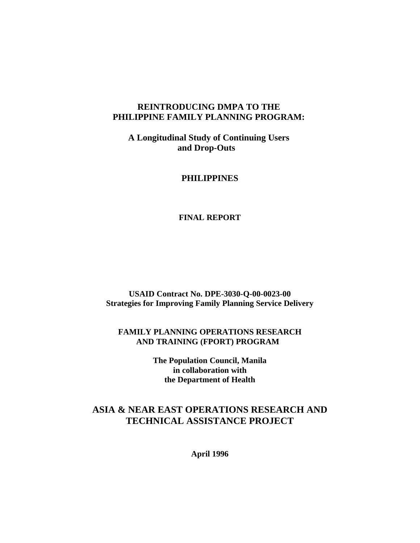### **REINTRODUCING DMPA TO THE PHILIPPINE FAMILY PLANNING PROGRAM:**

**A Longitudinal Study of Continuing Users and Drop-Outs** 

### **PHILIPPINES**

#### **FINAL REPORT**

**USAID Contract No. DPE-3030-Q-00-0023-00 Strategies for Improving Family Planning Service Delivery**

**FAMILY PLANNING OPERATIONS RESEARCH AND TRAINING (FPORT) PROGRAM** 

> **The Population Council, Manila in collaboration with the Department of Health**

### **ASIA & NEAR EAST OPERATIONS RESEARCH AND TECHNICAL ASSISTANCE PROJECT**

**April 1996**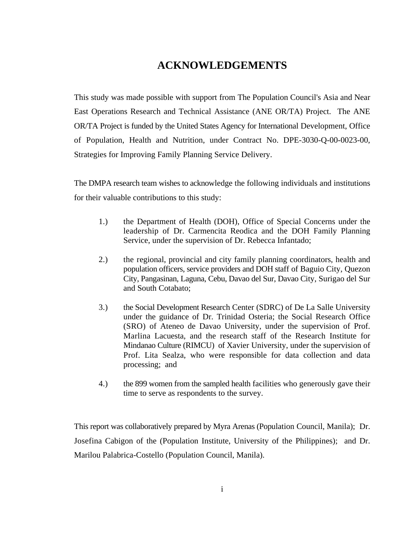## **ACKNOWLEDGEMENTS**

This study was made possible with support from The Population Council's Asia and Near East Operations Research and Technical Assistance (ANE OR/TA) Project. The ANE OR/TA Project is funded by the United States Agency for International Development, Office of Population, Health and Nutrition, under Contract No. DPE-3030-Q-00-0023-00, Strategies for Improving Family Planning Service Delivery.

The DMPA research team wishes to acknowledge the following individuals and institutions for their valuable contributions to this study:

- 1.) the Department of Health (DOH), Office of Special Concerns under the leadership of Dr. Carmencita Reodica and the DOH Family Planning Service, under the supervision of Dr. Rebecca Infantado;
- 2.) the regional, provincial and city family planning coordinators, health and population officers, service providers and DOH staff of Baguio City, Quezon City, Pangasinan, Laguna, Cebu, Davao del Sur, Davao City, Surigao del Sur and South Cotabato;
- 3.) the Social Development Research Center (SDRC) of De La Salle University under the guidance of Dr. Trinidad Osteria; the Social Research Office (SRO) of Ateneo de Davao University, under the supervision of Prof. Marlina Lacuesta, and the research staff of the Research Institute for Mindanao Culture (RIMCU) of Xavier University, under the supervision of Prof. Lita Sealza, who were responsible for data collection and data processing; and
- 4.) the 899 women from the sampled health facilities who generously gave their time to serve as respondents to the survey.

This report was collaboratively prepared by Myra Arenas (Population Council, Manila); Dr. Josefina Cabigon of the (Population Institute, University of the Philippines); and Dr. Marilou Palabrica-Costello (Population Council, Manila).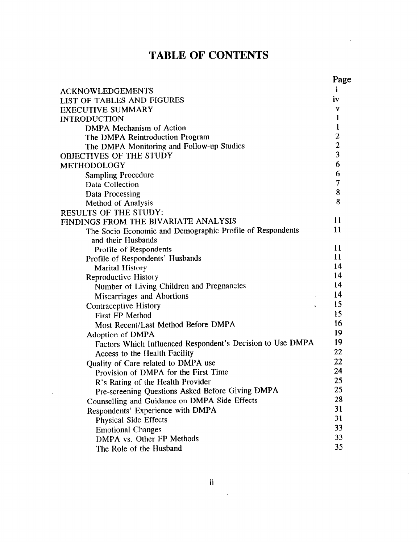## **TABLE OF CONTENTS**

 $\mathcal{L}^{\mathcal{L}}$ 

|                                                            | Page                    |
|------------------------------------------------------------|-------------------------|
| <b>ACKNOWLEDGEMENTS</b>                                    | $\mathbf{1}$            |
| LIST OF TABLES AND FIGURES                                 | iv                      |
| <b>EXECUTIVE SUMMARY</b>                                   | v                       |
| <b>INTRODUCTION</b>                                        | $\mathbf{1}$            |
| <b>DMPA Mechanism of Action</b>                            | $\mathbf{1}$            |
| The DMPA Reintroduction Program                            | $\boldsymbol{2}$        |
| The DMPA Monitoring and Follow-up Studies                  | $\overline{\mathbf{c}}$ |
| OBJECTIVES OF THE STUDY                                    | $\overline{\mathbf{3}}$ |
| METHODOLOGY                                                | 6                       |
| <b>Sampling Procedure</b>                                  | 6                       |
| Data Collection                                            | 7                       |
| Data Processing                                            | 8                       |
| Method of Analysis                                         | 8                       |
| RESULTS OF THE STUDY:                                      |                         |
| FINDINGS FROM THE BIVARIATE ANALYSIS                       | 11                      |
| The Socio-Economic and Demographic Profile of Respondents  | 11                      |
| and their Husbands                                         |                         |
| Profile of Respondents                                     | 11                      |
| Profile of Respondents' Husbands                           | 11                      |
| <b>Marital History</b>                                     | 14                      |
| Reproductive History                                       | 14                      |
| Number of Living Children and Pregnancies                  | 14                      |
| <b>Miscarriages and Abortions</b>                          | 14                      |
| <b>Contraceptive History</b><br>$\mathbf{r}$               | 15                      |
| <b>First FP Method</b>                                     | 15                      |
| Most Recent/Last Method Before DMPA                        | 16                      |
| <b>Adoption of DMPA</b>                                    | 19                      |
| Factors Which Influenced Respondent's Decision to Use DMPA | 19                      |
| Access to the Health Facility                              | 22                      |
| Quality of Care related to DMPA use                        | 22                      |
| Provision of DMPA for the First Time                       | 24                      |
| R's Rating of the Health Provider                          | 25                      |
| Pre-screening Questions Asked Before Giving DMPA           | 25                      |
| Counselling and Guidance on DMPA Side Effects              | 28                      |
| Respondents' Experience with DMPA                          | 31                      |
| <b>Physical Side Effects</b>                               | 31                      |
| <b>Emotional Changes</b>                                   | 33                      |
| DMPA vs. Other FP Methods                                  | 33                      |
| The Role of the Husband                                    | 35                      |

 $\mathbb{R}^2$ 

 $\sim 10^{11}$  km s  $^{-1}$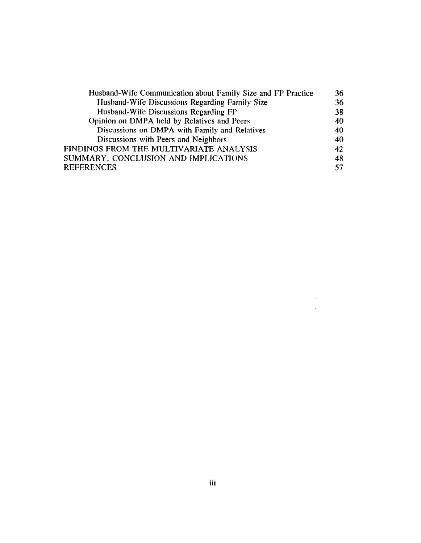| Husband-Wife Communication about Family Size and FP Practice | 36 |
|--------------------------------------------------------------|----|
| Husband-Wife Discussions Regarding Family Size               | 36 |
| Husband-Wife Discussions Regarding FP                        | 38 |
| Opinion on DMPA held by Relatives and Peers                  | 40 |
| Discussions on DMPA with Family and Relatives                | 40 |
| Discussions with Peers and Neighbors                         | 40 |
| FINDINGS FROM THE MULTIVARIATE ANALYSIS                      | 42 |
| SUMMARY, CONCLUSION AND IMPLICATIONS                         | 48 |
| REFERENCES                                                   | 57 |

 $\mathcal{L}^{\text{max}}_{\text{max}}$  $\hat{\mathbf{x}}$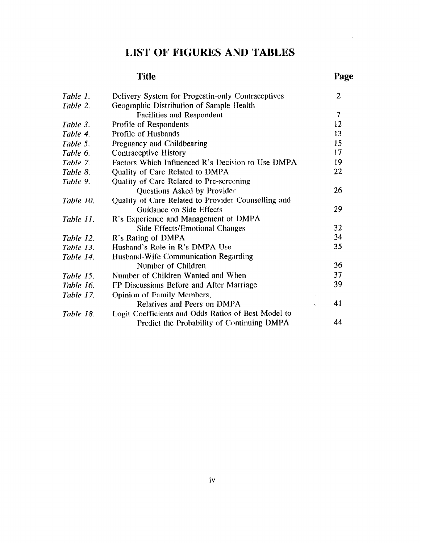### **LIST OF FIGURES AND TABLES**

#### **Title**  Page *Table 1.*  2 Delivery System for Progestin-only Contraceptives *Table 2.*  Geographic Distribution of Sample IIealth Facilities and Respondent 7 12 *Table 3.*  Profile of Respondents Profile of Husbands 13 *Table 4.*  Pregnancy and Childbearing 15 *Table 5.*  17 *Table 6.*  Contraceptive History *Table 7.*  Factors Which Influenced R's Decision to Use DMPA 19 Quality of Care Related to DMPA 22 *Table 8.*  Quality of Care Related to Pre-screening *Table 9.*  26 Questions Asked by Provider Quality of Care Related to Provider Counselling and *Table IO.*  Guidance on Side Effects 29 R's Experience and Management of DMPA *Table II.*  Side Effects/Emotional Changes 32 *Table 12.*  R's Rating of DMPA 34 Husband's Role in R's DMPA Use *35 Table 13.*  Husband-Wife Communication Regarding *Table 14.*  Number of Children 36 37 *Table 15.* Number of Children Wanted and When FP Discussions Before and After Marriage 39 *Table 16. Table 17.*  Opinion of Family Members, 41 Relatives and Peers on DMPA Logit Coefficients and Odds Ratios of Best Model to *Table 18.*  Predict the Probability of Continuing DMPA 44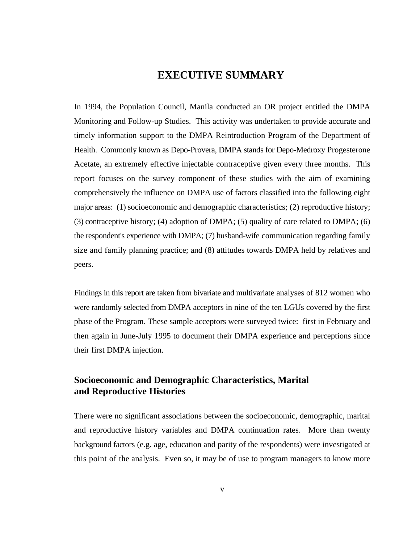### **EXECUTIVE SUMMARY**

In 1994, the Population Council, Manila conducted an OR project entitled the DMPA Monitoring and Follow-up Studies. This activity was undertaken to provide accurate and timely information support to the DMPA Reintroduction Program of the Department of Health. Commonly known as Depo-Provera, DMPA stands for Depo-Medroxy Progesterone Acetate, an extremely effective injectable contraceptive given every three months. This report focuses on the survey component of these studies with the aim of examining comprehensively the influence on DMPA use of factors classified into the following eight major areas: (1) socioeconomic and demographic characteristics; (2) reproductive history; (3) contraceptive history; (4) adoption of DMPA; (5) quality of care related to DMPA; (6) the respondent's experience with DMPA; (7) husband-wife communication regarding family size and family planning practice; and (8) attitudes towards DMPA held by relatives and peers.

Findings in this report are taken from bivariate and multivariate analyses of 812 women who were randomly selected from DMPA acceptors in nine of the ten LGUs covered by the first phase of the Program. These sample acceptors were surveyed twice: first in February and then again in June-July 1995 to document their DMPA experience and perceptions since their first DMPA injection.

### **Socioeconomic and Demographic Characteristics, Marital and Reproductive Histories**

There were no significant associations between the socioeconomic, demographic, marital and reproductive history variables and DMPA continuation rates. More than twenty background factors (e.g. age, education and parity of the respondents) were investigated at this point of the analysis. Even so, it may be of use to program managers to know more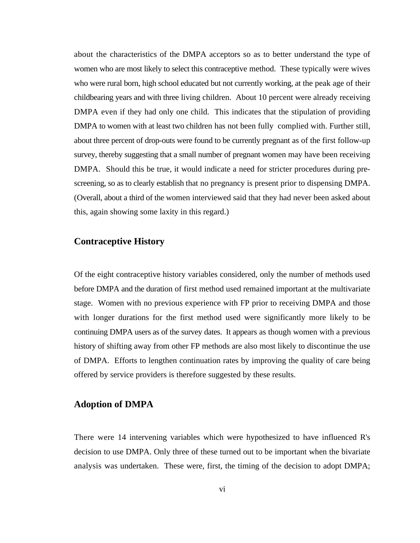about the characteristics of the DMPA acceptors so as to better understand the type of women who are most likely to select this contraceptive method. These typically were wives who were rural born, high school educated but not currently working, at the peak age of their childbearing years and with three living children. About 10 percent were already receiving DMPA even if they had only one child. This indicates that the stipulation of providing DMPA to women with at least two children has not been fully complied with. Further still, about three percent of drop-outs were found to be currently pregnant as of the first follow-up survey, thereby suggesting that a small number of pregnant women may have been receiving DMPA. Should this be true, it would indicate a need for stricter procedures during prescreening, so as to clearly establish that no pregnancy is present prior to dispensing DMPA. (Overall, about a third of the women interviewed said that they had never been asked about this, again showing some laxity in this regard.)

#### **Contraceptive History**

Of the eight contraceptive history variables considered, only the number of methods used before DMPA and the duration of first method used remained important at the multivariate stage. Women with no previous experience with FP prior to receiving DMPA and those with longer durations for the first method used were significantly more likely to be continuing DMPA users as of the survey dates. It appears as though women with a previous history of shifting away from other FP methods are also most likely to discontinue the use of DMPA. Efforts to lengthen continuation rates by improving the quality of care being offered by service providers is therefore suggested by these results.

#### **Adoption of DMPA**

There were 14 intervening variables which were hypothesized to have influenced R's decision to use DMPA. Only three of these turned out to be important when the bivariate analysis was undertaken. These were, first, the timing of the decision to adopt DMPA;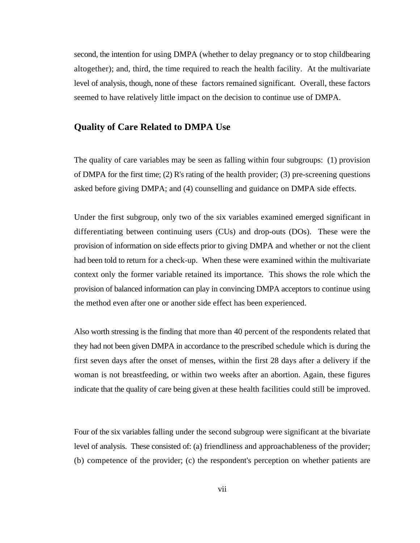second, the intention for using DMPA (whether to delay pregnancy or to stop childbearing altogether); and, third, the time required to reach the health facility. At the multivariate level of analysis, though, none of these factors remained significant. Overall, these factors seemed to have relatively little impact on the decision to continue use of DMPA.

#### **Quality of Care Related to DMPA Use**

The quality of care variables may be seen as falling within four subgroups: (1) provision of DMPA for the first time; (2) R's rating of the health provider; (3) pre-screening questions asked before giving DMPA; and (4) counselling and guidance on DMPA side effects.

Under the first subgroup, only two of the six variables examined emerged significant in differentiating between continuing users (CUs) and drop-outs (DOs). These were the provision of information on side effects prior to giving DMPA and whether or not the client had been told to return for a check-up. When these were examined within the multivariate context only the former variable retained its importance. This shows the role which the provision of balanced information can play in convincing DMPA acceptors to continue using the method even after one or another side effect has been experienced.

Also worth stressing is the finding that more than 40 percent of the respondents related that they had not been given DMPA in accordance to the prescribed schedule which is during the first seven days after the onset of menses, within the first 28 days after a delivery if the woman is not breastfeeding, or within two weeks after an abortion. Again, these figures indicate that the quality of care being given at these health facilities could still be improved.

Four of the six variables falling under the second subgroup were significant at the bivariate level of analysis. These consisted of: (a) friendliness and approachableness of the provider; (b) competence of the provider; (c) the respondent's perception on whether patients are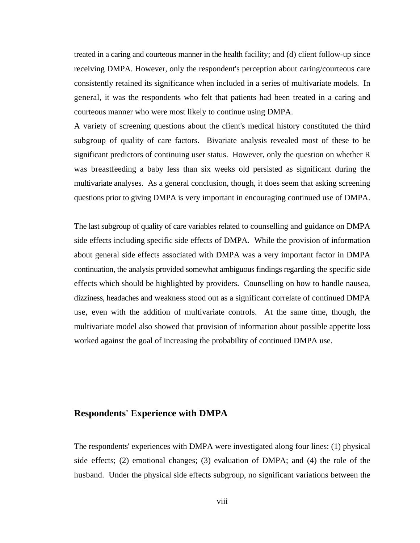treated in a caring and courteous manner in the health facility; and (d) client follow-up since receiving DMPA. However, only the respondent's perception about caring/courteous care consistently retained its significance when included in a series of multivariate models. In general, it was the respondents who felt that patients had been treated in a caring and courteous manner who were most likely to continue using DMPA.

A variety of screening questions about the client's medical history constituted the third subgroup of quality of care factors. Bivariate analysis revealed most of these to be significant predictors of continuing user status. However, only the question on whether R was breastfeeding a baby less than six weeks old persisted as significant during the multivariate analyses. As a general conclusion, though, it does seem that asking screening questions prior to giving DMPA is very important in encouraging continued use of DMPA.

The last subgroup of quality of care variables related to counselling and guidance on DMPA side effects including specific side effects of DMPA. While the provision of information about general side effects associated with DMPA was a very important factor in DMPA continuation, the analysis provided somewhat ambiguous findings regarding the specific side effects which should be highlighted by providers. Counselling on how to handle nausea, dizziness, headaches and weakness stood out as a significant correlate of continued DMPA use, even with the addition of multivariate controls. At the same time, though, the multivariate model also showed that provision of information about possible appetite loss worked against the goal of increasing the probability of continued DMPA use.

#### **Respondents' Experience with DMPA**

The respondents' experiences with DMPA were investigated along four lines: (1) physical side effects; (2) emotional changes; (3) evaluation of DMPA; and (4) the role of the husband. Under the physical side effects subgroup, no significant variations between the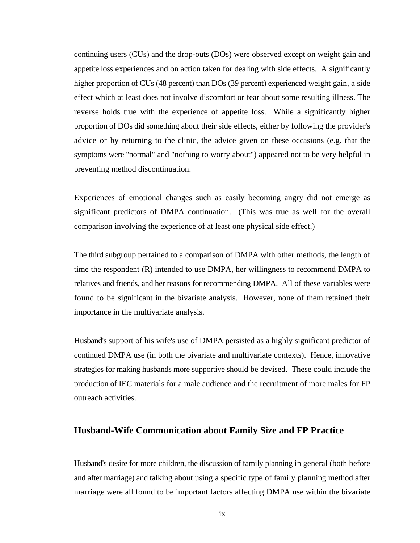continuing users (CUs) and the drop-outs (DOs) were observed except on weight gain and appetite loss experiences and on action taken for dealing with side effects. A significantly higher proportion of CUs (48 percent) than DOs (39 percent) experienced weight gain, a side effect which at least does not involve discomfort or fear about some resulting illness. The reverse holds true with the experience of appetite loss. While a significantly higher proportion of DOs did something about their side effects, either by following the provider's advice or by returning to the clinic, the advice given on these occasions (e.g. that the symptoms were "normal" and "nothing to worry about") appeared not to be very helpful in preventing method discontinuation.

Experiences of emotional changes such as easily becoming angry did not emerge as significant predictors of DMPA continuation. (This was true as well for the overall comparison involving the experience of at least one physical side effect.)

The third subgroup pertained to a comparison of DMPA with other methods, the length of time the respondent (R) intended to use DMPA, her willingness to recommend DMPA to relatives and friends, and her reasons for recommending DMPA. All of these variables were found to be significant in the bivariate analysis. However, none of them retained their importance in the multivariate analysis.

Husband's support of his wife's use of DMPA persisted as a highly significant predictor of continued DMPA use (in both the bivariate and multivariate contexts). Hence, innovative strategies for making husbands more supportive should be devised. These could include the production of IEC materials for a male audience and the recruitment of more males for FP outreach activities.

#### **Husband-Wife Communication about Family Size and FP Practice**

Husband's desire for more children, the discussion of family planning in general (both before and after marriage) and talking about using a specific type of family planning method after marriage were all found to be important factors affecting DMPA use within the bivariate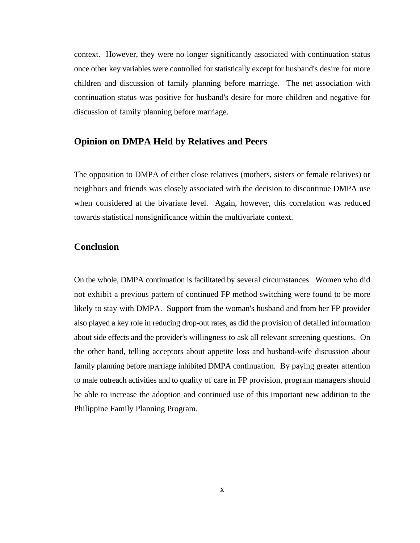context. However, they were no longer significantly associated with continuation status once other key variables were controlled for statistically except for husband's desire for more children and discussion of family planning before marriage. The net association with continuation status was positive for husband's desire for more children and negative for discussion of family planning before marriage.

#### **Opinion on DMPA Held by Relatives and Peers**

The opposition to DMPA of either close relatives (mothers, sisters or female relatives) or neighbors and friends was closely associated with the decision to discontinue DMPA use when considered at the bivariate level. Again, however, this correlation was reduced towards statistical nonsignificance within the multivariate context.

#### **Conclusion**

On the whole, DMPA continuation is facilitated by several circumstances. Women who did not exhibit a previous pattern of continued FP method switching were found to be more likely to stay with DMPA. Support from the woman's husband and from her FP provider also played a key role in reducing drop-out rates, as did the provision of detailed information about side effects and the provider's willingness to ask all relevant screening questions. On the other hand, telling acceptors about appetite loss and husband-wife discussion about family planning before marriage inhibited DMPA continuation. By paying greater attention to male outreach activities and to quality of care in FP provision, program managers should be able to increase the adoption and continued use of this important new addition to the Philippine Family Planning Program.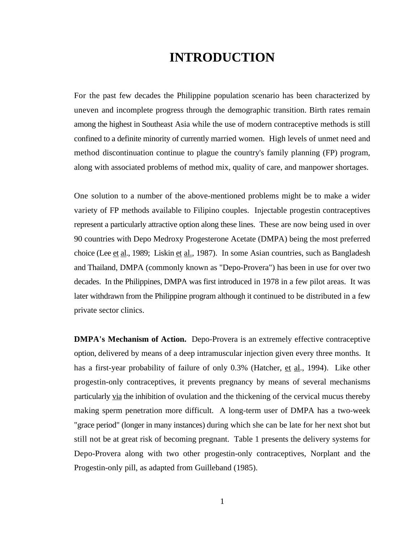## **INTRODUCTION**

For the past few decades the Philippine population scenario has been characterized by uneven and incomplete progress through the demographic transition. Birth rates remain among the highest in Southeast Asia while the use of modern contraceptive methods is still confined to a definite minority of currently married women. High levels of unmet need and method discontinuation continue to plague the country's family planning (FP) program, along with associated problems of method mix, quality of care, and manpower shortages.

One solution to a number of the above-mentioned problems might be to make a wider variety of FP methods available to Filipino couples. Injectable progestin contraceptives represent a particularly attractive option along these lines. These are now being used in over 90 countries with Depo Medroxy Progesterone Acetate (DMPA) being the most preferred choice (Lee et al., 1989; Liskin et al., 1987). In some Asian countries, such as Bangladesh and Thailand, DMPA (commonly known as "Depo-Provera") has been in use for over two decades. In the Philippines, DMPA was first introduced in 1978 in a few pilot areas. It was later withdrawn from the Philippine program although it continued to be distributed in a few private sector clinics.

**DMPA's Mechanism of Action.** Depo-Provera is an extremely effective contraceptive option, delivered by means of a deep intramuscular injection given every three months. It has a first-year probability of failure of only 0.3% (Hatcher, et al., 1994). Like other progestin-only contraceptives, it prevents pregnancy by means of several mechanisms particularly via the inhibition of ovulation and the thickening of the cervical mucus thereby making sperm penetration more difficult. A long-term user of DMPA has a two-week "grace period" (longer in many instances) during which she can be late for her next shot but still not be at great risk of becoming pregnant. Table 1 presents the delivery systems for Depo-Provera along with two other progestin-only contraceptives, Norplant and the Progestin-only pill, as adapted from Guilleband (1985).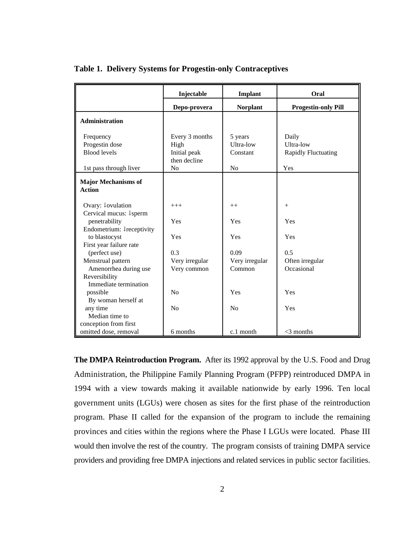|                                                          | Injectable                   | <b>Implant</b>  | Oral                       |
|----------------------------------------------------------|------------------------------|-----------------|----------------------------|
|                                                          | Depo-provera                 | <b>Norplant</b> | <b>Progestin-only Pill</b> |
| <b>Administration</b>                                    |                              |                 |                            |
| Frequency                                                | Every 3 months               | 5 years         | Daily                      |
| Progestin dose                                           | High                         | Ultra-low       | <b>Ultra-low</b>           |
| <b>Blood levels</b>                                      | Initial peak<br>then decline | Constant        | <b>Rapidly Fluctuating</b> |
| 1st pass through liver                                   | No                           | N <sub>0</sub>  | Yes                        |
| <b>Major Mechanisms of</b><br><b>Action</b>              |                              |                 |                            |
| Ovary: <b>Jovulation</b>                                 | $+++$                        | $++$            | $+$                        |
| Cervical mucus: <sup><math>\downarrow</math></sup> sperm |                              |                 |                            |
| penetrability                                            | Yes                          | Yes             | Yes                        |
| Endometrium: <b>I</b> receptivity                        |                              |                 |                            |
| to blastocyst                                            | Yes                          | Yes             | Yes                        |
| First year failure rate                                  |                              |                 |                            |
| (perfect use)                                            | 0.3                          | 0.09            | 0.5                        |
| Menstrual pattern                                        | Very irregular               | Very irregular  | Often irregular            |
| Amenorrhea during use                                    | Very common                  | Common          | Occasional                 |
| Reversibility                                            |                              |                 |                            |
| Immediate termination                                    |                              |                 |                            |
| possible                                                 | No                           | Yes             | Yes                        |
| By woman herself at                                      |                              |                 |                            |
| any time                                                 | No                           | N <sub>0</sub>  | Yes                        |
| Median time to                                           |                              |                 |                            |
| conception from first                                    |                              |                 |                            |
| omitted dose, removal                                    | 6 months                     | c.1 month       | $<$ 3 months               |

|  |  |  | Table 1. Delivery Systems for Progestin-only Contraceptives |  |  |
|--|--|--|-------------------------------------------------------------|--|--|
|  |  |  |                                                             |  |  |

**The DMPA Reintroduction Program.** After its 1992 approval by the U.S. Food and Drug Administration, the Philippine Family Planning Program (PFPP) reintroduced DMPA in 1994 with a view towards making it available nationwide by early 1996. Ten local government units (LGUs) were chosen as sites for the first phase of the reintroduction program. Phase II called for the expansion of the program to include the remaining provinces and cities within the regions where the Phase I LGUs were located. Phase III would then involve the rest of the country. The program consists of training DMPA service providers and providing free DMPA injections and related services in public sector facilities.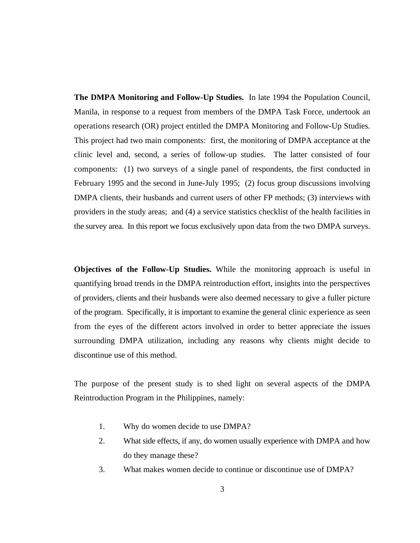**The DMPA Monitoring and Follow-Up Studies.** In late 1994 the Population Council, Manila, in response to a request from members of the DMPA Task Force, undertook an operations research (OR) project entitled the DMPA Monitoring and Follow-Up Studies. This project had two main components: first, the monitoring of DMPA acceptance at the clinic level and, second, a series of follow-up studies. The latter consisted of four components: (1) two surveys of a single panel of respondents, the first conducted in February 1995 and the second in June-July 1995; (2) focus group discussions involving DMPA clients, their husbands and current users of other FP methods; (3) interviews with providers in the study areas; and (4) a service statistics checklist of the health facilities in the survey area. In this report we focus exclusively upon data from the two DMPA surveys.

**Objectives of the Follow-Up Studies.** While the monitoring approach is useful in quantifying broad trends in the DMPA reintroduction effort, insights into the perspectives of providers, clients and their husbands were also deemed necessary to give a fuller picture of the program. Specifically, it is important to examine the general clinic experience as seen from the eyes of the different actors involved in order to better appreciate the issues surrounding DMPA utilization, including any reasons why clients might decide to discontinue use of this method.

The purpose of the present study is to shed light on several aspects of the DMPA Reintroduction Program in the Philippines, namely:

- 1. Why do women decide to use DMPA?
- 2. What side effects, if any, do women usually experience with DMPA and how do they manage these?
- 3. What makes women decide to continue or discontinue use of DMPA?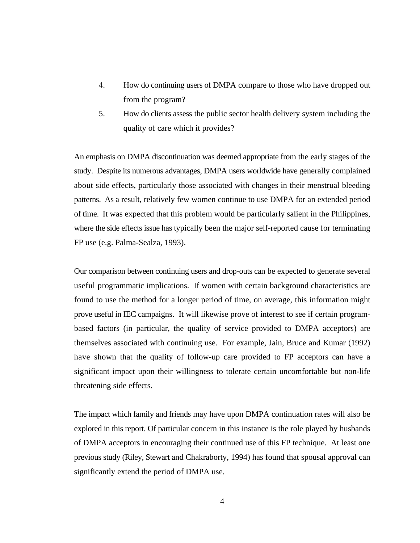- 4. How do continuing users of DMPA compare to those who have dropped out from the program?
- 5. How do clients assess the public sector health delivery system including the quality of care which it provides?

An emphasis on DMPA discontinuation was deemed appropriate from the early stages of the study. Despite its numerous advantages, DMPA users worldwide have generally complained about side effects, particularly those associated with changes in their menstrual bleeding patterns. As a result, relatively few women continue to use DMPA for an extended period of time. It was expected that this problem would be particularly salient in the Philippines, where the side effects issue has typically been the major self-reported cause for terminating FP use (e.g. Palma-Sealza, 1993).

Our comparison between continuing users and drop-outs can be expected to generate several useful programmatic implications. If women with certain background characteristics are found to use the method for a longer period of time, on average, this information might prove useful in IEC campaigns. It will likewise prove of interest to see if certain programbased factors (in particular, the quality of service provided to DMPA acceptors) are themselves associated with continuing use. For example, Jain, Bruce and Kumar (1992) have shown that the quality of follow-up care provided to FP acceptors can have a significant impact upon their willingness to tolerate certain uncomfortable but non-life threatening side effects.

The impact which family and friends may have upon DMPA continuation rates will also be explored in this report. Of particular concern in this instance is the role played by husbands of DMPA acceptors in encouraging their continued use of this FP technique. At least one previous study (Riley, Stewart and Chakraborty, 1994) has found that spousal approval can significantly extend the period of DMPA use.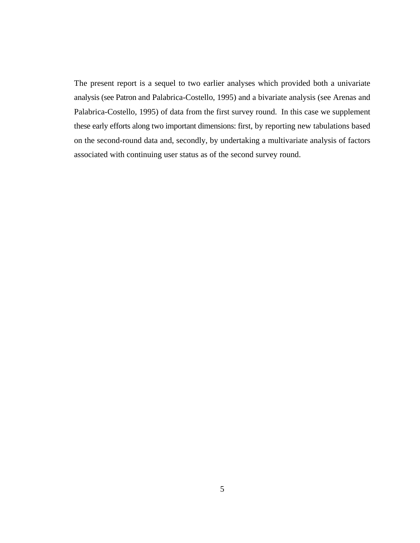The present report is a sequel to two earlier analyses which provided both a univariate analysis (see Patron and Palabrica-Costello, 1995) and a bivariate analysis (see Arenas and Palabrica-Costello, 1995) of data from the first survey round. In this case we supplement these early efforts along two important dimensions: first, by reporting new tabulations based on the second-round data and, secondly, by undertaking a multivariate analysis of factors associated with continuing user status as of the second survey round.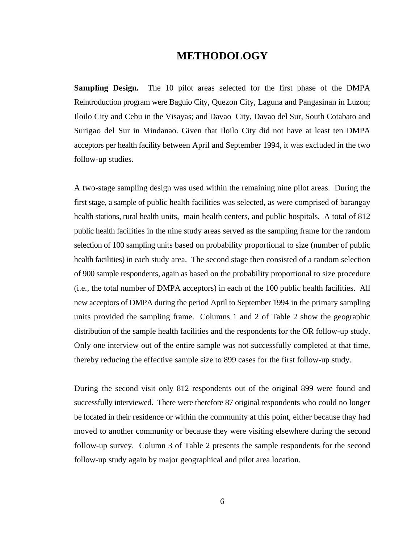### **METHODOLOGY**

**Sampling Design.** The 10 pilot areas selected for the first phase of the DMPA Reintroduction program were Baguio City, Quezon City, Laguna and Pangasinan in Luzon; Iloilo City and Cebu in the Visayas; and Davao City, Davao del Sur, South Cotabato and Surigao del Sur in Mindanao. Given that Iloilo City did not have at least ten DMPA acceptors per health facility between April and September 1994, it was excluded in the two follow-up studies.

A two-stage sampling design was used within the remaining nine pilot areas. During the first stage, a sample of public health facilities was selected, as were comprised of barangay health stations, rural health units, main health centers, and public hospitals. A total of 812 public health facilities in the nine study areas served as the sampling frame for the random selection of 100 sampling units based on probability proportional to size (number of public health facilities) in each study area. The second stage then consisted of a random selection of 900 sample respondents, again as based on the probability proportional to size procedure (i.e., the total number of DMPA acceptors) in each of the 100 public health facilities. All new acceptors of DMPA during the period April to September 1994 in the primary sampling units provided the sampling frame. Columns 1 and 2 of Table 2 show the geographic distribution of the sample health facilities and the respondents for the OR follow-up study. Only one interview out of the entire sample was not successfully completed at that time, thereby reducing the effective sample size to 899 cases for the first follow-up study.

During the second visit only 812 respondents out of the original 899 were found and successfully interviewed. There were therefore 87 original respondents who could no longer be located in their residence or within the community at this point, either because thay had moved to another community or because they were visiting elsewhere during the second follow-up survey. Column 3 of Table 2 presents the sample respondents for the second follow-up study again by major geographical and pilot area location.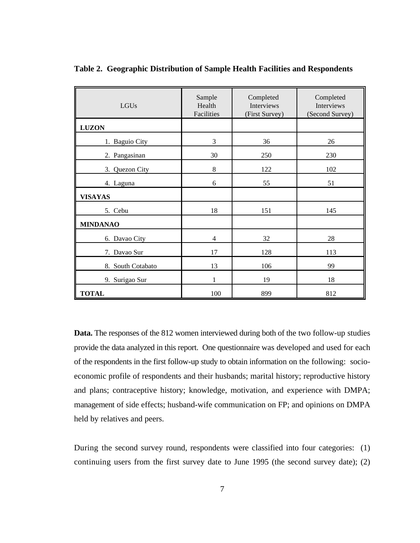| ║<br>LGUs         | Sample<br>Health<br>Facilities | Completed<br>Interviews<br>(First Survey) | Completed<br>Interviews<br>(Second Survey) |
|-------------------|--------------------------------|-------------------------------------------|--------------------------------------------|
| <b>LUZON</b>      |                                |                                           |                                            |
| 1. Baguio City    | 3                              | 36                                        | 26                                         |
| 2. Pangasinan     | 30                             | 250                                       | 230                                        |
| 3. Quezon City    | 8                              | 122                                       | 102                                        |
| 4. Laguna         | 6                              | 55                                        | 51                                         |
| <b>VISAYAS</b>    |                                |                                           |                                            |
| 5. Cebu           | 18                             | 151                                       | 145                                        |
| <b>MINDANAO</b>   |                                |                                           |                                            |
| 6. Davao City     | $\overline{4}$                 | 32                                        | 28                                         |
| 7. Davao Sur      | 17                             | 128                                       | 113                                        |
| 8. South Cotabato | 13                             | 106                                       | 99                                         |
| 9. Surigao Sur    | 1                              | 19                                        | 18                                         |
| <b>TOTAL</b>      | 100                            | 899                                       | 812                                        |

**Table 2. Geographic Distribution of Sample Health Facilities and Respondents** 

**Data.** The responses of the 812 women interviewed during both of the two follow-up studies provide the data analyzed in this report. One questionnaire was developed and used for each of the respondents in the first follow-up study to obtain information on the following: socioeconomic profile of respondents and their husbands; marital history; reproductive history and plans; contraceptive history; knowledge, motivation, and experience with DMPA; management of side effects; husband-wife communication on FP; and opinions on DMPA held by relatives and peers.

During the second survey round, respondents were classified into four categories: (1) continuing users from the first survey date to June 1995 (the second survey date); (2)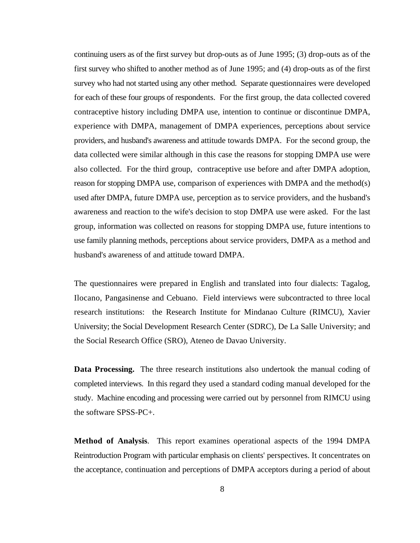continuing users as of the first survey but drop-outs as of June 1995; (3) drop-outs as of the first survey who shifted to another method as of June 1995; and (4) drop-outs as of the first survey who had not started using any other method. Separate questionnaires were developed for each of these four groups of respondents. For the first group, the data collected covered contraceptive history including DMPA use, intention to continue or discontinue DMPA, experience with DMPA, management of DMPA experiences, perceptions about service providers, and husband's awareness and attitude towards DMPA. For the second group, the data collected were similar although in this case the reasons for stopping DMPA use were also collected. For the third group, contraceptive use before and after DMPA adoption, reason for stopping DMPA use, comparison of experiences with DMPA and the method(s) used after DMPA, future DMPA use, perception as to service providers, and the husband's awareness and reaction to the wife's decision to stop DMPA use were asked. For the last group, information was collected on reasons for stopping DMPA use, future intentions to use family planning methods, perceptions about service providers, DMPA as a method and husband's awareness of and attitude toward DMPA.

The questionnaires were prepared in English and translated into four dialects: Tagalog, Ilocano, Pangasinense and Cebuano. Field interviews were subcontracted to three local research institutions: the Research Institute for Mindanao Culture (RIMCU), Xavier University; the Social Development Research Center (SDRC), De La Salle University; and the Social Research Office (SRO), Ateneo de Davao University.

**Data Processing.** The three research institutions also undertook the manual coding of completed interviews. In this regard they used a standard coding manual developed for the study. Machine encoding and processing were carried out by personnel from RIMCU using the software SPSS-PC+.

**Method of Analysis**. This report examines operational aspects of the 1994 DMPA Reintroduction Program with particular emphasis on clients' perspectives. It concentrates on the acceptance, continuation and perceptions of DMPA acceptors during a period of about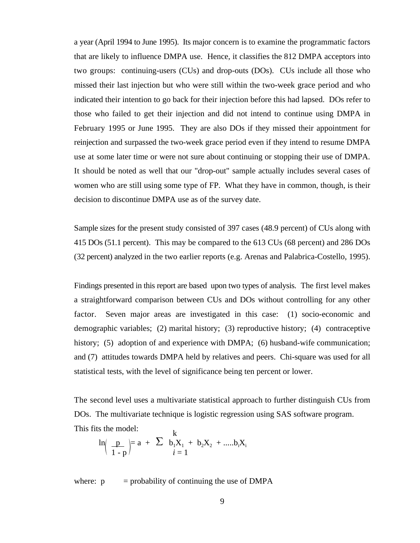a year (April 1994 to June 1995). Its major concern is to examine the programmatic factors that are likely to influence DMPA use. Hence, it classifies the 812 DMPA acceptors into two groups: continuing-users (CUs) and drop-outs (DOs). CUs include all those who missed their last injection but who were still within the two-week grace period and who indicated their intention to go back for their injection before this had lapsed. DOs refer to those who failed to get their injection and did not intend to continue using DMPA in February 1995 or June 1995. They are also DOs if they missed their appointment for reinjection and surpassed the two-week grace period even if they intend to resume DMPA use at some later time or were not sure about continuing or stopping their use of DMPA. It should be noted as well that our "drop-out" sample actually includes several cases of women who are still using some type of FP. What they have in common, though, is their decision to discontinue DMPA use as of the survey date.

Sample sizes for the present study consisted of 397 cases (48.9 percent) of CUs along with 415 DOs (51.1 percent). This may be compared to the 613 CUs (68 percent) and 286 DOs (32 percent) analyzed in the two earlier reports (e.g. Arenas and Palabrica-Costello, 1995).

Findings presented in this report are based upon two types of analysis. The first level makes a straightforward comparison between CUs and DOs without controlling for any other factor. Seven major areas are investigated in this case: (1) socio-economic and demographic variables; (2) marital history; (3) reproductive history; (4) contraceptive history; (5) adoption of and experience with DMPA; (6) husband-wife communication; and (7) attitudes towards DMPA held by relatives and peers. Chi-square was used for all statistical tests, with the level of significance being ten percent or lower.

The second level uses a multivariate statistical approach to further distinguish CUs from DOs. The multivariate technique is logistic regression using SAS software program. This fits the model:

$$
\ln\left(\frac{p}{1-p}\right) = a + \sum_{i=1}^{R} b_i X_i + b_2 X_2 + \dots + b_i X_i
$$

where:  $p = probability of continuing the use of DMPA$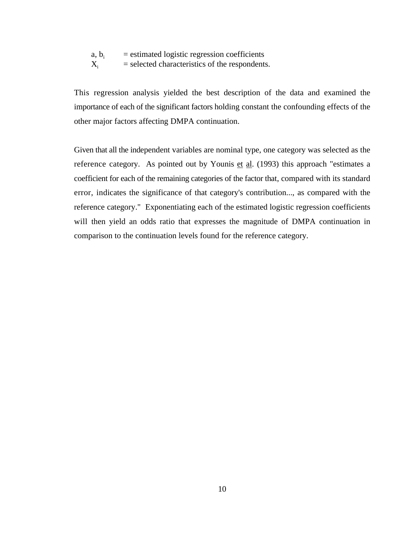- a,  $b_i$  = estimated logistic regression coefficients<br>  $X_i$  = selected characteristics of the respondents
- $=$  selected characteristics of the respondents.

This regression analysis yielded the best description of the data and examined the importance of each of the significant factors holding constant the confounding effects of the other major factors affecting DMPA continuation.

Given that all the independent variables are nominal type, one category was selected as the reference category. As pointed out by Younis  $et$  al. (1993) this approach "estimates a coefficient for each of the remaining categories of the factor that, compared with its standard error, indicates the significance of that category's contribution..., as compared with the reference category." Exponentiating each of the estimated logistic regression coefficients will then yield an odds ratio that expresses the magnitude of DMPA continuation in comparison to the continuation levels found for the reference category.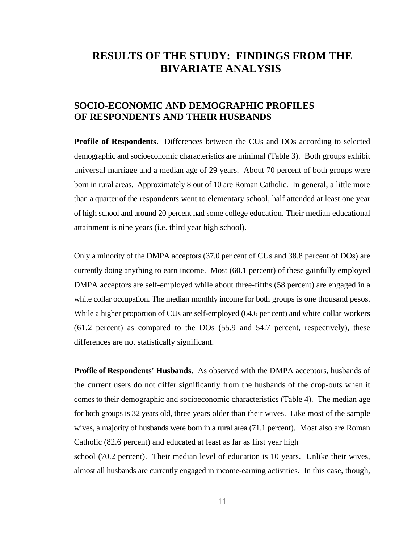### **RESULTS OF THE STUDY: FINDINGS FROM THE BIVARIATE ANALYSIS**

### **SOCIO-ECONOMIC AND DEMOGRAPHIC PROFILES OF RESPONDENTS AND THEIR HUSBANDS**

**Profile of Respondents.** Differences between the CUs and DOs according to selected demographic and socioeconomic characteristics are minimal (Table 3). Both groups exhibit universal marriage and a median age of 29 years. About 70 percent of both groups were born in rural areas. Approximately 8 out of 10 are Roman Catholic. In general, a little more than a quarter of the respondents went to elementary school, half attended at least one year of high school and around 20 percent had some college education. Their median educational attainment is nine years (i.e. third year high school).

Only a minority of the DMPA acceptors (37.0 per cent of CUs and 38.8 percent of DOs) are currently doing anything to earn income. Most (60.1 percent) of these gainfully employed DMPA acceptors are self-employed while about three-fifths (58 percent) are engaged in a white collar occupation. The median monthly income for both groups is one thousand pesos. While a higher proportion of CUs are self-employed (64.6 per cent) and white collar workers (61.2 percent) as compared to the DOs (55.9 and 54.7 percent, respectively), these differences are not statistically significant.

**Profile of Respondents' Husbands.** As observed with the DMPA acceptors, husbands of the current users do not differ significantly from the husbands of the drop-outs when it comes to their demographic and socioeconomic characteristics (Table 4). The median age for both groups is 32 years old, three years older than their wives. Like most of the sample wives, a majority of husbands were born in a rural area (71.1 percent). Most also are Roman Catholic (82.6 percent) and educated at least as far as first year high

school (70.2 percent). Their median level of education is 10 years. Unlike their wives, almost all husbands are currently engaged in income-earning activities. In this case, though,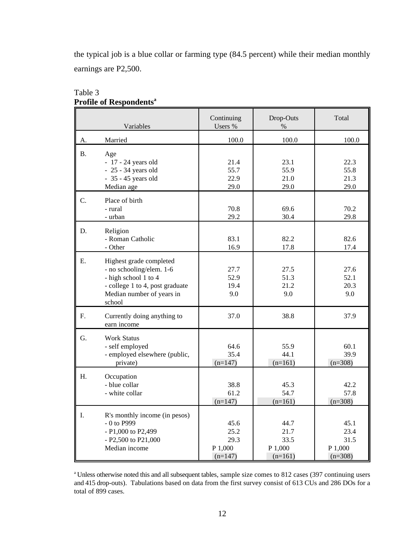the typical job is a blue collar or farming type (84.5 percent) while their median monthly earnings are P2,500.

|    | Variables                                                                                                                                             | Continuing<br>Users %                        | Drop-Outs<br>$\%$                            | Total                                        |
|----|-------------------------------------------------------------------------------------------------------------------------------------------------------|----------------------------------------------|----------------------------------------------|----------------------------------------------|
| A. | Married                                                                                                                                               | 100.0                                        | 100.0                                        | 100.0                                        |
| Β. | Age<br>$-17 - 24$ years old<br>$-25 - 34$ years old<br>- 35 - 45 years old<br>Median age                                                              | 21.4<br>55.7<br>22.9<br>29.0                 | 23.1<br>55.9<br>21.0<br>29.0                 | 22.3<br>55.8<br>21.3<br>29.0                 |
| C. | Place of birth<br>- rural<br>- urban                                                                                                                  | 70.8<br>29.2                                 | 69.6<br>30.4                                 | 70.2<br>29.8                                 |
| D. | Religion<br>- Roman Catholic<br>- Other                                                                                                               | 83.1<br>16.9                                 | 82.2<br>17.8                                 | 82.6<br>17.4                                 |
| Ε. | Highest grade completed<br>- no schooling/elem. 1-6<br>- high school 1 to 4<br>- college 1 to 4, post graduate<br>Median number of years in<br>school | 27.7<br>52.9<br>19.4<br>9.0                  | 27.5<br>51.3<br>21.2<br>9.0                  | 27.6<br>52.1<br>20.3<br>9.0                  |
| F. | Currently doing anything to<br>earn income                                                                                                            | 37.0                                         | 38.8                                         | 37.9                                         |
| G. | <b>Work Status</b><br>- self employed<br>- employed elsewhere (public,<br>private)                                                                    | 64.6<br>35.4<br>$(n=147)$                    | 55.9<br>44.1<br>$(n=161)$                    | 60.1<br>39.9<br>$(n=308)$                    |
| H. | Occupation<br>- blue collar<br>- white collar                                                                                                         | 38.8<br>61.2<br>$(n=147)$                    | 45.3<br>54.7<br>$(n=161)$                    | 42.2<br>57.8<br>$(n=308)$                    |
| I. | R's monthly income (in pesos)<br>- 0 to P999<br>- P1,000 to P2,499<br>- P2,500 to P21,000<br>Median income                                            | 45.6<br>25.2<br>29.3<br>P 1,000<br>$(n=147)$ | 44.7<br>21.7<br>33.5<br>P 1,000<br>$(n=161)$ | 45.1<br>23.4<br>31.5<br>P 1,000<br>$(n=308)$ |

#### Table 3 **Profile of Respondents<sup>a</sup>**

<sup>a</sup> Unless otherwise noted this and all subsequent tables, sample size comes to 812 cases (397 continuing users and 415 drop-outs). Tabulations based on data from the first survey consist of 613 CUs and 286 DOs for a total of 899 cases.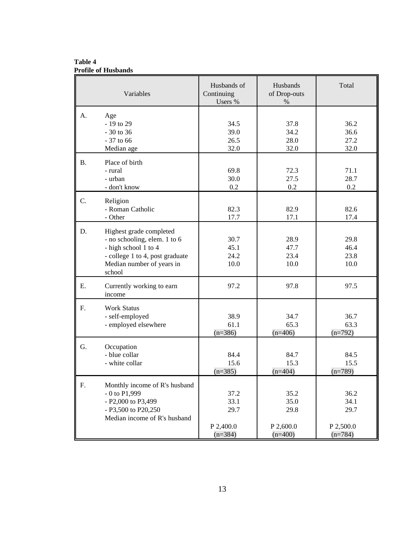**Table 4 Profile of Husbands**

|           | Variables                                                                                                                                                 | Husbands of<br>Continuing<br>Users %           | Husbands<br>of Drop-outs<br>$\%$               | Total                                          |
|-----------|-----------------------------------------------------------------------------------------------------------------------------------------------------------|------------------------------------------------|------------------------------------------------|------------------------------------------------|
| А.        | Age<br>- 19 to 29<br>$-30$ to 36<br>$-37$ to 66<br>Median age                                                                                             | 34.5<br>39.0<br>26.5<br>32.0                   | 37.8<br>34.2<br>28.0<br>32.0                   | 36.2<br>36.6<br>27.2<br>32.0                   |
| <b>B.</b> | Place of birth<br>- rural<br>- urban<br>- don't know                                                                                                      | 69.8<br>30.0<br>0.2                            | 72.3<br>27.5<br>0.2                            | 71.1<br>28.7<br>0.2                            |
| C.        | Religion<br>- Roman Catholic<br>- Other                                                                                                                   | 82.3<br>17.7                                   | 82.9<br>17.1                                   | 82.6<br>17.4                                   |
| D.        | Highest grade completed<br>- no schooling, elem. 1 to 6<br>- high school 1 to 4<br>- college 1 to 4, post graduate<br>Median number of years in<br>school | 30.7<br>45.1<br>24.2<br>10.0                   | 28.9<br>47.7<br>23.4<br>10.0                   | 29.8<br>46.4<br>23.8<br>10.0                   |
| Ε.        | Currently working to earn<br>income                                                                                                                       | 97.2                                           | 97.8                                           | 97.5                                           |
| F.        | <b>Work Status</b><br>- self-employed<br>- employed elsewhere                                                                                             | 38.9<br>61.1<br>$(n=386)$                      | 34.7<br>65.3<br>$(n=406)$                      | 36.7<br>63.3<br>$(n=792)$                      |
| G.        | Occupation<br>- blue collar<br>- white collar                                                                                                             | 84.4<br>15.6<br>$(n=385)$                      | 84.7<br>15.3<br>$(n=404)$                      | 84.5<br>15.5<br>$(n=789)$                      |
| F.        | Monthly income of R's husband<br>$-0$ to $P1,999$<br>- P2,000 to P3,499<br>- P3,500 to P20,250<br>Median income of R's husband                            | 37.2<br>33.1<br>29.7<br>P 2,400.0<br>$(n=384)$ | 35.2<br>35.0<br>29.8<br>P 2,600.0<br>$(n=400)$ | 36.2<br>34.1<br>29.7<br>P 2,500.0<br>$(n=784)$ |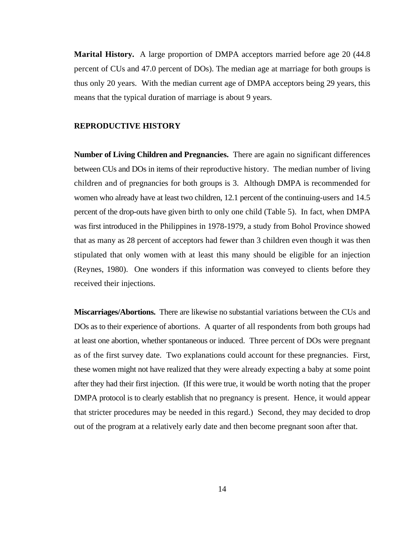**Marital History.** A large proportion of DMPA acceptors married before age 20 (44.8) percent of CUs and 47.0 percent of DOs). The median age at marriage for both groups is thus only 20 years. With the median current age of DMPA acceptors being 29 years, this means that the typical duration of marriage is about 9 years.

#### **REPRODUCTIVE HISTORY**

**Number of Living Children and Pregnancies.** There are again no significant differences between CUs and DOs in items of their reproductive history. The median number of living children and of pregnancies for both groups is 3. Although DMPA is recommended for women who already have at least two children, 12.1 percent of the continuing-users and 14.5 percent of the drop-outs have given birth to only one child (Table 5). In fact, when DMPA was first introduced in the Philippines in 1978-1979, a study from Bohol Province showed that as many as 28 percent of acceptors had fewer than 3 children even though it was then stipulated that only women with at least this many should be eligible for an injection (Reynes, 1980). One wonders if this information was conveyed to clients before they received their injections.

**Miscarriages/Abortions.** There are likewise no substantial variations between the CUs and DOs as to their experience of abortions. A quarter of all respondents from both groups had at least one abortion, whether spontaneous or induced. Three percent of DOs were pregnant as of the first survey date. Two explanations could account for these pregnancies. First, these women might not have realized that they were already expecting a baby at some point after they had their first injection. (If this were true, it would be worth noting that the proper DMPA protocol is to clearly establish that no pregnancy is present. Hence, it would appear that stricter procedures may be needed in this regard.) Second, they may decided to drop out of the program at a relatively early date and then become pregnant soon after that.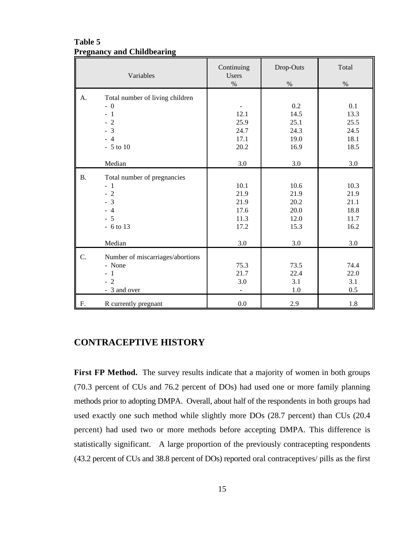#### **Table 5 Pregnancy and Childbearing**

|           | Variables                                                                                             | Continuing<br>Users<br>$\%$                                | Drop-Outs<br>$\%$                                              | Total<br>$\%$                                              |
|-----------|-------------------------------------------------------------------------------------------------------|------------------------------------------------------------|----------------------------------------------------------------|------------------------------------------------------------|
| A.        | Total number of living children<br>$-0$<br>$-1$<br>$-2$<br>$-3$<br>$-4$<br>$-5$ to $10$               | 12.1<br>25.9<br>24.7<br>17.1<br>20.2                       | 0.2<br>14.5<br>25.1<br>24.3<br>19.0<br>16.9                    | 0.1<br>13.3<br>25.5<br>24.5<br>18.1<br>18.5                |
| <b>B.</b> | Median<br>Total number of pregnancies<br>$-1$<br>$-2$<br>$-3$<br>$-4$<br>$-5$<br>$-6$ to 13<br>Median | 3.0<br>10.1<br>21.9<br>21.9<br>17.6<br>11.3<br>17.2<br>3.0 | 3.0<br>10.6<br>21.9<br>20.2<br>20.0<br>12.0<br>15.3<br>$3.0\,$ | 3.0<br>10.3<br>21.9<br>21.1<br>18.8<br>11.7<br>16.2<br>3.0 |
| C.        | Number of miscarriages/abortions<br>- None<br>$-1$<br>$-2$<br>- 3 and over                            | 75.3<br>21.7<br>3.0                                        | 73.5<br>22.4<br>3.1<br>1.0                                     | 74.4<br>22.0<br>3.1<br>0.5                                 |
| F.        | R currently pregnant                                                                                  | 0.0                                                        | 2.9                                                            | $1.8\,$                                                    |

### **CONTRACEPTIVE HISTORY**

First FP Method. The survey results indicate that a majority of women in both groups (70.3 percent of CUs and 76.2 percent of DOs) had used one or more family planning methods prior to adopting DMPA. Overall, about half of the respondents in both groups had used exactly one such method while slightly more DOs (28.7 percent) than CUs (20.4 percent) had used two or more methods before accepting DMPA. This difference is statistically significant. A large proportion of the previously contracepting respondents (43.2 percent of CUs and 38.8 percent of DOs) reported oral contraceptives/ pills as the first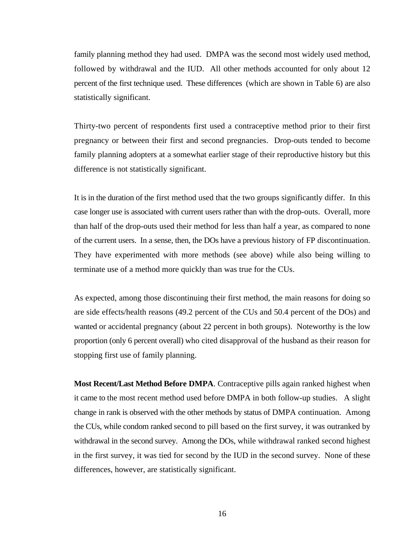family planning method they had used. DMPA was the second most widely used method, followed by withdrawal and the IUD. All other methods accounted for only about 12 percent of the first technique used. These differences (which are shown in Table 6) are also statistically significant.

Thirty-two percent of respondents first used a contraceptive method prior to their first pregnancy or between their first and second pregnancies. Drop-outs tended to become family planning adopters at a somewhat earlier stage of their reproductive history but this difference is not statistically significant.

It is in the duration of the first method used that the two groups significantly differ. In this case longer use is associated with current users rather than with the drop-outs. Overall, more than half of the drop-outs used their method for less than half a year, as compared to none of the current users. In a sense, then, the DOs have a previous history of FP discontinuation. They have experimented with more methods (see above) while also being willing to terminate use of a method more quickly than was true for the CUs.

As expected, among those discontinuing their first method, the main reasons for doing so are side effects/health reasons (49.2 percent of the CUs and 50.4 percent of the DOs) and wanted or accidental pregnancy (about 22 percent in both groups). Noteworthy is the low proportion (only 6 percent overall) who cited disapproval of the husband as their reason for stopping first use of family planning.

**Most Recent/Last Method Before DMPA**. Contraceptive pills again ranked highest when it came to the most recent method used before DMPA in both follow-up studies. A slight change in rank is observed with the other methods by status of DMPA continuation. Among the CUs, while condom ranked second to pill based on the first survey, it was outranked by withdrawal in the second survey. Among the DOs, while withdrawal ranked second highest in the first survey, it was tied for second by the IUD in the second survey. None of these differences, however, are statistically significant.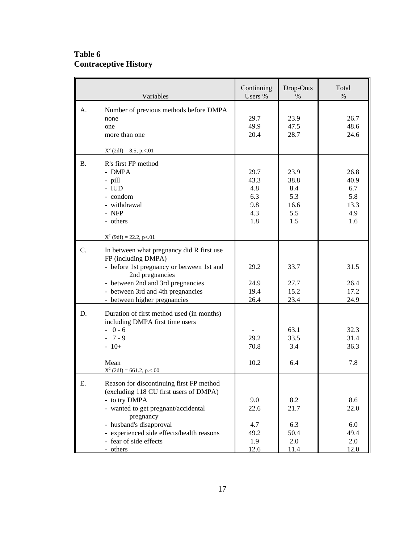### **Table 6 Contraceptive History**

|           | Variables                                                                                                                                                                                                                                                             | Continuing<br>Users %                           | Drop-Outs<br>$\%$                                | Total<br>$\%$                                    |
|-----------|-----------------------------------------------------------------------------------------------------------------------------------------------------------------------------------------------------------------------------------------------------------------------|-------------------------------------------------|--------------------------------------------------|--------------------------------------------------|
| А.        | Number of previous methods before DMPA<br>none<br>one<br>more than one<br>$X^2$ (2df) = 8.5, p. < 01                                                                                                                                                                  | 29.7<br>49.9<br>20.4                            | 23.9<br>47.5<br>28.7                             | 26.7<br>48.6<br>24.6                             |
| <b>B.</b> | R's first FP method<br>- DMPA<br>- pill<br>- IUD<br>- condom<br>- withdrawal<br>- NFP<br>- others<br>$X^2$ (9df) = 22.2, p < 0.01                                                                                                                                     | 29.7<br>43.3<br>4.8<br>6.3<br>9.8<br>4.3<br>1.8 | 23.9<br>38.8<br>8.4<br>5.3<br>16.6<br>5.5<br>1.5 | 26.8<br>40.9<br>6.7<br>5.8<br>13.3<br>4.9<br>1.6 |
| C.        | In between what pregnancy did R first use<br>FP (including DMPA)<br>- before 1st pregnancy or between 1st and<br>2nd pregnancies<br>- between 2nd and 3rd pregnancies<br>- between 3rd and 4th pregnancies<br>- between higher pregnancies                            | 29.2<br>24.9<br>19.4<br>26.4                    | 33.7<br>27.7<br>15.2<br>23.4                     | 31.5<br>26.4<br>17.2<br>24.9                     |
| D.        | Duration of first method used (in months)<br>including DMPA first time users<br>$-0-6$<br>$-7-9$<br>$-10+$<br>Mean<br>$X^2$ (2df) = 661.2, p. < .00                                                                                                                   | 29.2<br>70.8<br>10.2                            | 63.1<br>33.5<br>3.4<br>6.4                       | 32.3<br>31.4<br>36.3<br>7.8                      |
| Ε.        | Reason for discontinuing first FP method<br>(excluding 118 CU first users of DMPA)<br>- to try DMPA<br>- wanted to get pregnant/accidental<br>pregnancy<br>- husband's disapproval<br>- experienced side effects/health reasons<br>- fear of side effects<br>- others | 9.0<br>22.6<br>4.7<br>49.2<br>1.9<br>12.6       | 8.2<br>21.7<br>6.3<br>50.4<br>2.0<br>11.4        | 8.6<br>22.0<br>6.0<br>49.4<br>2.0<br>12.0        |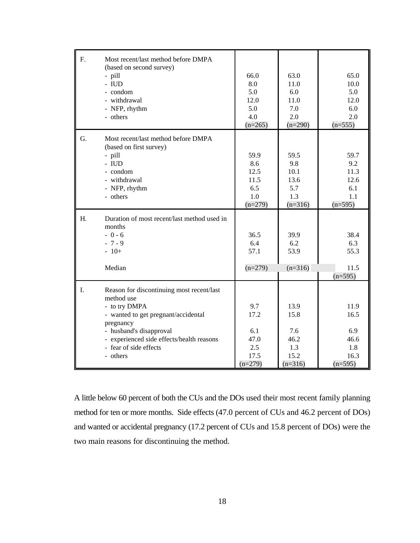| F. | Most recent/last method before DMPA         |           |           |           |
|----|---------------------------------------------|-----------|-----------|-----------|
|    | (based on second survey)                    |           |           |           |
|    | - pill                                      | 66.0      | 63.0      | 65.0      |
|    | $- IUD$                                     | 8.0       | 11.0      | 10.0      |
|    | - condom                                    | 5.0       | 6.0       | 5.0       |
|    | - withdrawal                                | 12.0      | 11.0      | 12.0      |
|    | - NFP, rhythm                               | 5.0       | 7.0       | 6.0       |
|    | - others                                    | 4.0       | 2.0       | 2.0       |
|    |                                             | $(n=265)$ | $(n=290)$ | $(n=555)$ |
| G. | Most recent/last method before DMPA         |           |           |           |
|    | (based on first survey)                     |           |           |           |
|    | - pill                                      | 59.9      | 59.5      | 59.7      |
|    | $- IUD$                                     | 8.6       | 9.8       | 9.2       |
|    | - condom                                    | 12.5      | 10.1      | 11.3      |
|    | - withdrawal                                | 11.5      | 13.6      | 12.6      |
|    | - NFP, rhythm                               | 6.5       | 5.7       | 6.1       |
|    | - others                                    | 1.0       | 1.3       | 1.1       |
|    |                                             | $(n=279)$ | $(n=316)$ | $(n=595)$ |
|    |                                             |           |           |           |
| Η. | Duration of most recent/last method used in |           |           |           |
|    | months                                      |           |           |           |
|    | $-0-6$                                      | 36.5      | 39.9      | 38.4      |
|    | $-7-9$                                      | 6.4       | 6.2       | 6.3       |
|    | $-10+$                                      | 57.1      | 53.9      | 55.3      |
|    |                                             |           |           |           |
|    | Median                                      | $(n=279)$ | $(n=316)$ | 11.5      |
|    |                                             |           |           | $(n=595)$ |
|    |                                             |           |           |           |
| I. | Reason for discontinuing most recent/last   |           |           |           |
|    | method use                                  |           |           |           |
|    | - to try DMPA                               | 9.7       | 13.9      | 11.9      |
|    | - wanted to get pregnant/accidental         | 17.2      | 15.8      | 16.5      |
|    | pregnancy                                   |           |           |           |
|    | - husband's disapproval                     | 6.1       | 7.6       | 6.9       |
|    | - experienced side effects/health reasons   | 47.0      | 46.2      | 46.6      |
|    | - fear of side effects                      | 2.5       | 1.3       | 1.8       |
|    | - others                                    | 17.5      | 15.2      | 16.3      |
|    |                                             | $(n=279)$ | $(n=316)$ | $(n=595)$ |

A little below 60 percent of both the CUs and the DOs used their most recent family planning method for ten or more months. Side effects (47.0 percent of CUs and 46.2 percent of DOs) and wanted or accidental pregnancy (17.2 percent of CUs and 15.8 percent of DOs) were the two main reasons for discontinuing the method.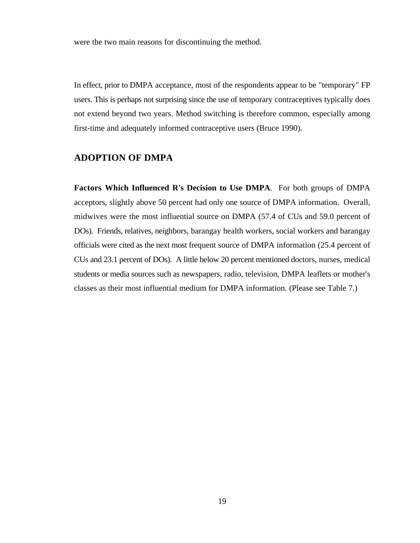were the two main reasons for discontinuing the method.

In effect, prior to DMPA acceptance, most of the respondents appear to be "temporary" FP users. This is perhaps not surprising since the use of temporary contraceptives typically does not extend beyond two years. Method switching is therefore common, especially among first-time and adequately informed contraceptive users (Bruce 1990).

#### **ADOPTION OF DMPA**

**Factors Which Influenced R's Decision to Use DMPA**. For both groups of DMPA acceptors, slightly above 50 percent had only one source of DMPA information. Overall, midwives were the most influential source on DMPA (57.4 of CUs and 59.0 percent of DOs). Friends, relatives, neighbors, barangay health workers, social workers and barangay officials were cited as the next most frequent source of DMPA information (25.4 percent of CUs and 23.1 percent of DOs). A little below 20 percent mentioned doctors, nurses, medical students or media sources such as newspapers, radio, television, DMPA leaflets or mother's classes as their most influential medium for DMPA information. (Please see Table 7.)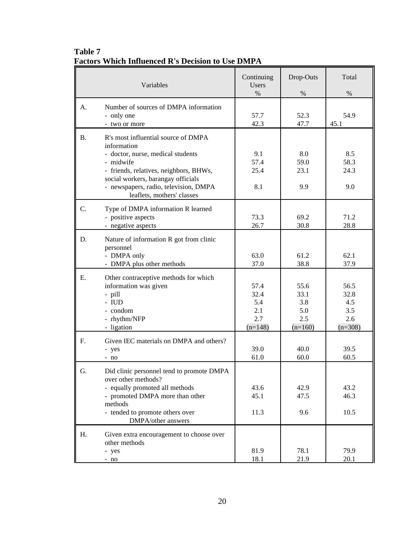|           | Variables                                                                                                                                                                                                                                                   | Continuing<br><b>Users</b>                     | Drop-Outs                                      | Total                                          |
|-----------|-------------------------------------------------------------------------------------------------------------------------------------------------------------------------------------------------------------------------------------------------------------|------------------------------------------------|------------------------------------------------|------------------------------------------------|
| A.        | Number of sources of DMPA information<br>- only one<br>- two or more                                                                                                                                                                                        | $\%$<br>57.7<br>42.3                           | $\%$<br>52.3<br>47.7                           | $\%$<br>54.9<br>45.1                           |
| <b>B.</b> | R's most influential source of DMPA<br>information<br>- doctor, nurse, medical students<br>- midwife<br>- friends, relatives, neighbors, BHWs,<br>social workers, barangay officials<br>- newspapers, radio, television, DMPA<br>leaflets, mothers' classes | 9.1<br>57.4<br>25.4<br>8.1                     | 8.0<br>59.0<br>23.1<br>9.9                     | 8.5<br>58.3<br>24.3<br>9.0                     |
| C.        | Type of DMPA information R learned<br>- positive aspects<br>- negative aspects                                                                                                                                                                              | 73.3<br>26.7                                   | 69.2<br>30.8                                   | 71.2<br>28.8                                   |
| D.        | Nature of information R got from clinic<br>personnel<br>- DMPA only<br>- DMPA plus other methods                                                                                                                                                            | 63.0<br>37.0                                   | 61.2<br>38.8                                   | 62.1<br>37.9                                   |
| Ε.        | Other contraceptive methods for which<br>information was given<br>- pill<br>$- IUD$<br>- condom<br>- rhythm/NFP<br>- ligation                                                                                                                               | 57.4<br>32.4<br>5.4<br>2.1<br>2.7<br>$(n=148)$ | 55.6<br>33.1<br>3.8<br>5.0<br>2.5<br>$(n=160)$ | 56.5<br>32.8<br>4.5<br>3.5<br>2.6<br>$(n=308)$ |
| F.        | Given IEC materials on DMPA and others?<br>- yes<br>- no                                                                                                                                                                                                    | 39.0<br>61.0                                   | 40.0<br>60.0                                   | 39.5<br>60.5                                   |
| G.        | Did clinic personnel tend to promote DMPA<br>over other methods?<br>- equally promoted all methods<br>- promoted DMPA more than other<br>methods<br>- tended to promote others over<br>DMPA/other answers                                                   | 43.6<br>45.1<br>11.3                           | 42.9<br>47.5<br>9.6                            | 43.2<br>46.3<br>10.5                           |
| Н.        | Given extra encouragement to choose over<br>other methods<br>- yes<br>$- no$                                                                                                                                                                                | 81.9<br>18.1                                   | 78.1<br>21.9                                   | 79.9<br>20.1                                   |

**Table 7 Factors Which Influenced R's Decision to Use DMPA**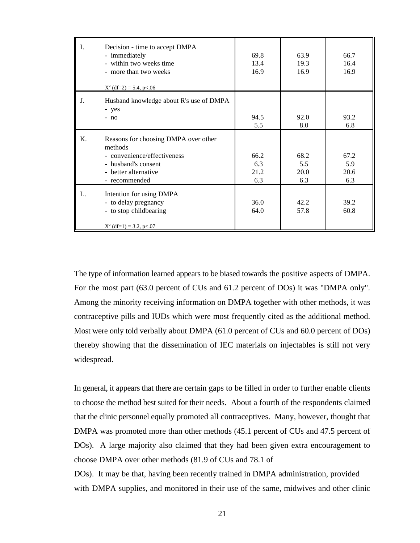| I. | Decision - time to accept DMPA<br>- immediately<br>- within two weeks time<br>- more than two weeks<br>$X^2$ (df=2) = 5.4, p<.06               | 69.8<br>13.4<br>16.9       | 63.9<br>19.3<br>16.9       | 66.7<br>16.4<br>16.9       |
|----|------------------------------------------------------------------------------------------------------------------------------------------------|----------------------------|----------------------------|----------------------------|
| J. | Husband knowledge about R's use of DMPA<br>- yes<br>$- no$                                                                                     | 94.5<br>5.5                | 92.0<br>8.0                | 93.2<br>6.8                |
| Κ. | Reasons for choosing DMPA over other<br>methods<br>- convenience/effectiveness<br>- husband's consent<br>- better alternative<br>- recommended | 66.2<br>6.3<br>21.2<br>6.3 | 68.2<br>5.5<br>20.0<br>6.3 | 67.2<br>5.9<br>20.6<br>6.3 |
|    | Intention for using DMPA<br>- to delay pregnancy<br>- to stop childbearing<br>$X^2$ (df=1) = 3.2, p<.07                                        | 36.0<br>64.0               | 42.2<br>57.8               | 39.2<br>60.8               |

The type of information learned appears to be biased towards the positive aspects of DMPA. For the most part (63.0 percent of CUs and 61.2 percent of DOs) it was "DMPA only". Among the minority receiving information on DMPA together with other methods, it was contraceptive pills and IUDs which were most frequently cited as the additional method. Most were only told verbally about DMPA (61.0 percent of CUs and 60.0 percent of DOs) thereby showing that the dissemination of IEC materials on injectables is still not very widespread.

In general, it appears that there are certain gaps to be filled in order to further enable clients to choose the method best suited for their needs. About a fourth of the respondents claimed that the clinic personnel equally promoted all contraceptives. Many, however, thought that DMPA was promoted more than other methods (45.1 percent of CUs and 47.5 percent of DOs). A large majority also claimed that they had been given extra encouragement to choose DMPA over other methods (81.9 of CUs and 78.1 of DOs). It may be that, having been recently trained in DMPA administration, provided

with DMPA supplies, and monitored in their use of the same, midwives and other clinic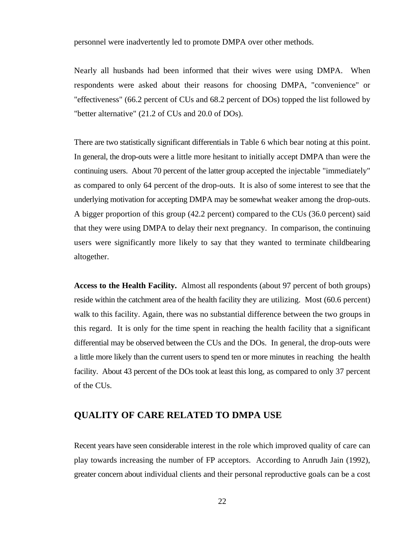personnel were inadvertently led to promote DMPA over other methods.

Nearly all husbands had been informed that their wives were using DMPA. When respondents were asked about their reasons for choosing DMPA, "convenience" or "effectiveness" (66.2 percent of CUs and 68.2 percent of DOs) topped the list followed by "better alternative" (21.2 of CUs and 20.0 of DOs).

There are two statistically significant differentials in Table 6 which bear noting at this point. In general, the drop-outs were a little more hesitant to initially accept DMPA than were the continuing users. About 70 percent of the latter group accepted the injectable "immediately" as compared to only 64 percent of the drop-outs. It is also of some interest to see that the underlying motivation for accepting DMPA may be somewhat weaker among the drop-outs. A bigger proportion of this group (42.2 percent) compared to the CUs (36.0 percent) said that they were using DMPA to delay their next pregnancy. In comparison, the continuing users were significantly more likely to say that they wanted to terminate childbearing altogether.

**Access to the Health Facility.** Almost all respondents (about 97 percent of both groups) reside within the catchment area of the health facility they are utilizing. Most (60.6 percent) walk to this facility. Again, there was no substantial difference between the two groups in this regard. It is only for the time spent in reaching the health facility that a significant differential may be observed between the CUs and the DOs. In general, the drop-outs were a little more likely than the current users to spend ten or more minutes in reaching the health facility. About 43 percent of the DOs took at least this long, as compared to only 37 percent of the CUs.

#### **QUALITY OF CARE RELATED TO DMPA USE**

Recent years have seen considerable interest in the role which improved quality of care can play towards increasing the number of FP acceptors. According to Anrudh Jain (1992), greater concern about individual clients and their personal reproductive goals can be a cost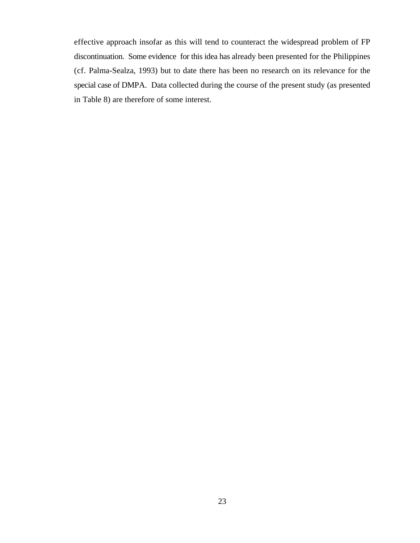effective approach insofar as this will tend to counteract the widespread problem of FP discontinuation. Some evidence for this idea has already been presented for the Philippines (cf. Palma-Sealza, 1993) but to date there has been no research on its relevance for the special case of DMPA. Data collected during the course of the present study (as presented in Table 8) are therefore of some interest.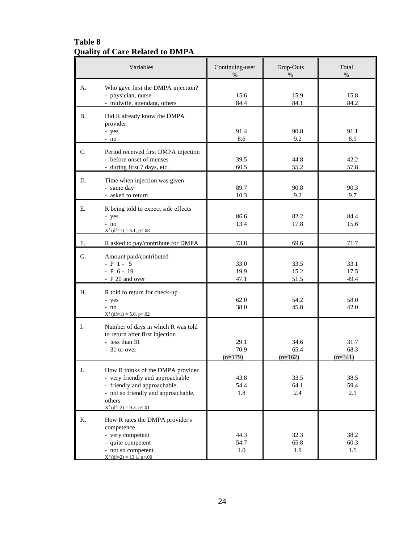### **Table 8 Quality of Care Related to DMPA**

|           | Variables                                                                                                                                                                          | Continuing-user<br>$\%$   | Drop-Outs<br>%            | Total<br>$\%$             |
|-----------|------------------------------------------------------------------------------------------------------------------------------------------------------------------------------------|---------------------------|---------------------------|---------------------------|
| А.        | Who gave first the DMPA injection?<br>- physician, nurse<br>- midwife, attendant, others                                                                                           | 15.6<br>84.4              | 15.9<br>84.1              | 15.8<br>84.2              |
| <b>B.</b> | Did R already know the DMPA<br>provider<br>- yes<br>$- no$                                                                                                                         | 91.4<br>8.6               | 90.8<br>9.2               | 91.1<br>8.9               |
| C.        | Period received first DMPA injection<br>- before onset of menses<br>- during first 7 days, etc.                                                                                    | 39.5<br>60.5              | 44.8<br>55.2              | 42.2<br>57.8              |
| D.        | Time when injection was given<br>- same day<br>- asked to return                                                                                                                   | 89.7<br>10.3              | 90.8<br>9.2               | 90.3<br>9.7               |
| Е.        | R being told to expect side effects<br>- yes<br>- no<br>$X^2$ (df=1) = 3.1, p<.08                                                                                                  | 86.6<br>13.4              | 82.2<br>17.8              | 84.4<br>15.6              |
| F.        | R asked to pay/contribute for DMPA                                                                                                                                                 | 73.8                      | 69.6                      | 71.7                      |
| G.        | Amount paid/contributed<br>$- P 1 - 5$<br>$- P 6 - 19$<br>- P 20 and over                                                                                                          | 33.0<br>19.9<br>47.1      | 33.5<br>15.2<br>51.5      | 33.1<br>17.5<br>49.4      |
| Н.        | R told to return for check-up<br>- yes<br>- no<br>$X^2$ (df=1) = 5.0, p <.02                                                                                                       | 62.0<br>38.0              | 54.2<br>45.8              | 58.0<br>42.0              |
| I.        | Number of days in which R was told<br>to return after first injection<br>- less than 31<br>- 31 or over                                                                            | 29.1<br>70.9<br>$(n=179)$ | 34.6<br>65.4<br>$(n=162)$ | 31.7<br>68.3<br>$(n=341)$ |
| J.        | How R thinks of the DMPA provider<br>- very friendly and approachable<br>- friendly and approachable<br>- not so friendly and approachable,<br>others<br>$X^2$ (df=2) = 9.3, p<.01 | 43.8<br>54.4<br>1.8       | 33.5<br>64.1<br>2.4       | 38.5<br>59.4<br>2.1       |
| Κ.        | How R rates the DMPA provider's<br>competence<br>- very competent<br>- quite competent<br>- not so competent<br>$X^2$ (df=2) = 13.1, p<.00                                         | 44.3<br>54.7<br>$1.0\,$   | 32.3<br>65.8<br>1.9       | 38.2<br>60.3<br>1.5       |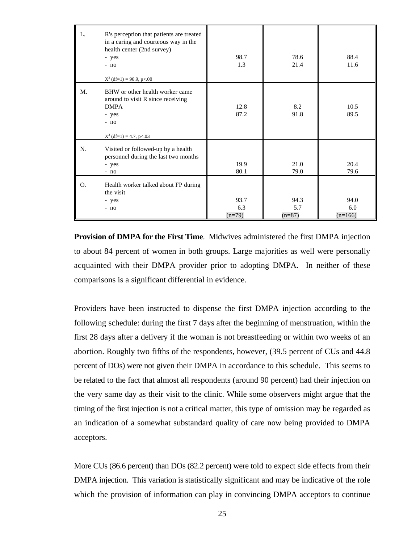| L. | R's perception that patients are treated<br>in a caring and courteous way in the<br>health center (2nd survey)<br>- yes<br>- no<br>$X^2$ (df=1) = 96.9, p<.00 | 98.7<br>1.3             | 78.6<br>21.4            | 88.4<br>11.6             |
|----|---------------------------------------------------------------------------------------------------------------------------------------------------------------|-------------------------|-------------------------|--------------------------|
| M. | BHW or other health worker came<br>around to visit R since receiving<br><b>DMPA</b><br>- yes<br>- no<br>$X^2$ (df=1) = 4.7, p<.03                             | 12.8<br>87.2            | 8.2<br>91.8             | 10.5<br>89.5             |
| N. | Visited or followed-up by a health<br>personnel during the last two months<br>- yes<br>$- no$                                                                 | 19.9<br>80.1            | 21.0<br>79.0            | 20.4<br>79.6             |
| O. | Health worker talked about FP during<br>the visit<br>- yes<br>$- no$                                                                                          | 93.7<br>6.3<br>$(n=79)$ | 94.3<br>5.7<br>$(n=87)$ | 94.0<br>6.0<br>$(n=166)$ |

**Provision of DMPA for the First Time**. Midwives administered the first DMPA injection to about 84 percent of women in both groups. Large majorities as well were personally acquainted with their DMPA provider prior to adopting DMPA. In neither of these comparisons is a significant differential in evidence.

Providers have been instructed to dispense the first DMPA injection according to the following schedule: during the first 7 days after the beginning of menstruation, within the first 28 days after a delivery if the woman is not breastfeeding or within two weeks of an abortion. Roughly two fifths of the respondents, however, (39.5 percent of CUs and 44.8 percent of DOs) were not given their DMPA in accordance to this schedule. This seems to be related to the fact that almost all respondents (around 90 percent) had their injection on the very same day as their visit to the clinic. While some observers might argue that the timing of the first injection is not a critical matter, this type of omission may be regarded as an indication of a somewhat substandard quality of care now being provided to DMPA acceptors.

More CUs (86.6 percent) than DOs (82.2 percent) were told to expect side effects from their DMPA injection. This variation is statistically significant and may be indicative of the role which the provision of information can play in convincing DMPA acceptors to continue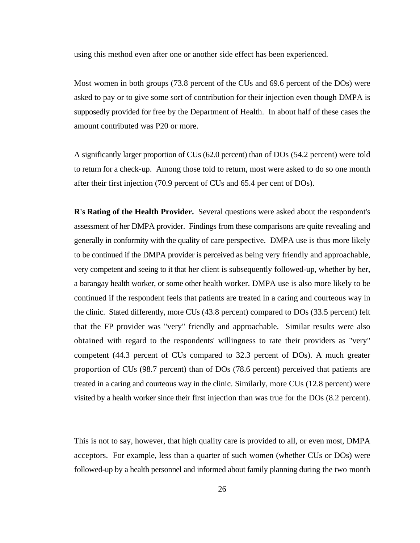using this method even after one or another side effect has been experienced.

Most women in both groups (73.8 percent of the CUs and 69.6 percent of the DOs) were asked to pay or to give some sort of contribution for their injection even though DMPA is supposedly provided for free by the Department of Health. In about half of these cases the amount contributed was P20 or more.

A significantly larger proportion of CUs (62.0 percent) than of DOs (54.2 percent) were told to return for a check-up. Among those told to return, most were asked to do so one month after their first injection (70.9 percent of CUs and 65.4 per cent of DOs).

**R's Rating of the Health Provider.** Several questions were asked about the respondent's assessment of her DMPA provider. Findings from these comparisons are quite revealing and generally in conformity with the quality of care perspective. DMPA use is thus more likely to be continued if the DMPA provider is perceived as being very friendly and approachable, very competent and seeing to it that her client is subsequently followed-up, whether by her, a barangay health worker, or some other health worker. DMPA use is also more likely to be continued if the respondent feels that patients are treated in a caring and courteous way in the clinic. Stated differently, more CUs (43.8 percent) compared to DOs (33.5 percent) felt that the FP provider was "very" friendly and approachable. Similar results were also obtained with regard to the respondents' willingness to rate their providers as "very" competent (44.3 percent of CUs compared to 32.3 percent of DOs). A much greater proportion of CUs (98.7 percent) than of DOs (78.6 percent) perceived that patients are treated in a caring and courteous way in the clinic. Similarly, more CUs (12.8 percent) were visited by a health worker since their first injection than was true for the DOs (8.2 percent).

This is not to say, however, that high quality care is provided to all, or even most, DMPA acceptors. For example, less than a quarter of such women (whether CUs or DOs) were followed-up by a health personnel and informed about family planning during the two month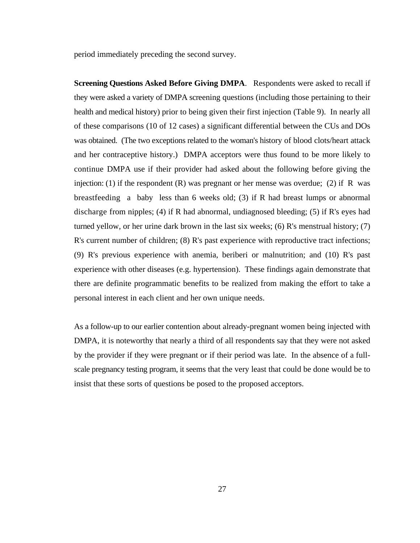period immediately preceding the second survey.

**Screening Questions Asked Before Giving DMPA**. Respondents were asked to recall if they were asked a variety of DMPA screening questions (including those pertaining to their health and medical history) prior to being given their first injection (Table 9). In nearly all of these comparisons (10 of 12 cases) a significant differential between the CUs and DOs was obtained. (The two exceptions related to the woman's history of blood clots/heart attack and her contraceptive history.) DMPA acceptors were thus found to be more likely to continue DMPA use if their provider had asked about the following before giving the injection: (1) if the respondent  $(R)$  was pregnant or her mense was overdue; (2) if R was breastfeeding a baby less than 6 weeks old; (3) if R had breast lumps or abnormal discharge from nipples; (4) if R had abnormal, undiagnosed bleeding; (5) if R's eyes had turned yellow, or her urine dark brown in the last six weeks; (6) R's menstrual history; (7) R's current number of children; (8) R's past experience with reproductive tract infections; (9) R's previous experience with anemia, beriberi or malnutrition; and (10) R's past experience with other diseases (e.g. hypertension). These findings again demonstrate that there are definite programmatic benefits to be realized from making the effort to take a personal interest in each client and her own unique needs.

As a follow-up to our earlier contention about already-pregnant women being injected with DMPA, it is noteworthy that nearly a third of all respondents say that they were not asked by the provider if they were pregnant or if their period was late. In the absence of a fullscale pregnancy testing program, it seems that the very least that could be done would be to insist that these sorts of questions be posed to the proposed acceptors.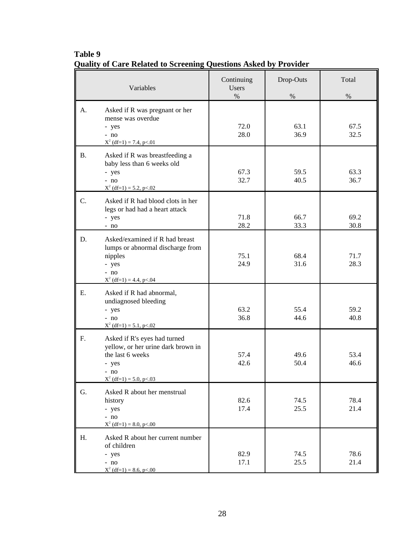|           | Variables                                                                                                                              | Continuing<br><b>Users</b><br>$\%$ | Drop-Outs<br>$\%$ | Total<br>$\%$ |
|-----------|----------------------------------------------------------------------------------------------------------------------------------------|------------------------------------|-------------------|---------------|
| A.        | Asked if R was pregnant or her<br>mense was overdue<br>- yes<br>$- no$<br>$X^2$ (df=1) = 7.4, p<.01                                    | 72.0<br>28.0                       | 63.1<br>36.9      | 67.5<br>32.5  |
| <b>B.</b> | Asked if R was breastfeeding a<br>baby less than 6 weeks old<br>- yes<br>$- no$<br>$X^2$ (df=1) = 5.2, p<.02                           | 67.3<br>32.7                       | 59.5<br>40.5      | 63.3<br>36.7  |
| C.        | Asked if R had blood clots in her<br>legs or had had a heart attack<br>- yes<br>$- no$                                                 | 71.8<br>28.2                       | 66.7<br>33.3      | 69.2<br>30.8  |
| D.        | Asked/examined if R had breast<br>lumps or abnormal discharge from<br>nipples<br>- yes<br>$- no$<br>$X^2$ (df=1) = 4.4, p<.04          | 75.1<br>24.9                       | 68.4<br>31.6      | 71.7<br>28.3  |
| E.        | Asked if R had abnormal,<br>undiagnosed bleeding<br>- yes<br>$- no$<br>$X^2$ (df=1) = 5.1, p<.02                                       | 63.2<br>36.8                       | 55.4<br>44.6      | 59.2<br>40.8  |
| F.        | Asked if R's eyes had turned<br>yellow, or her urine dark brown in<br>the last 6 weeks<br>- yes<br>$- no$<br>$X^2$ (df=1) = 5.0, p<.03 | 57.4<br>42.6                       | 49.6<br>50.4      | 53.4<br>46.6  |
| G.        | Asked R about her menstrual<br>history<br>- yes<br>$- no$<br>$X^2$ (df=1) = 8.0, p<.00                                                 | 82.6<br>17.4                       | 74.5<br>25.5      | 78.4<br>21.4  |
| H.        | Asked R about her current number<br>of children<br>- yes<br>$- no$<br>$X^2$ (df=1) = 8.6, p<.00                                        | 82.9<br>17.1                       | 74.5<br>25.5      | 78.6<br>21.4  |

# **Table 9 Quality of Care Related to Screening Questions Asked by Provider**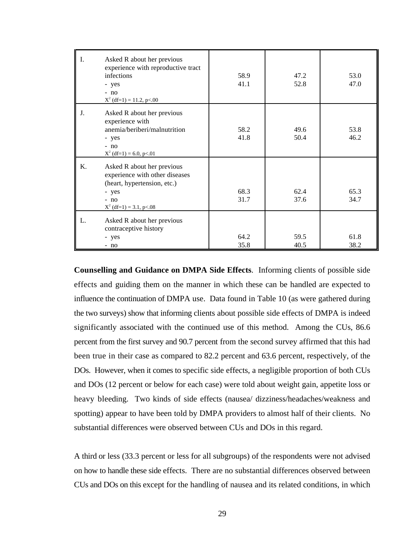| I. | Asked R about her previous<br>experience with reproductive tract<br>infections<br>- yes<br>$- no$<br>$X^2$ (df=1) = 11.2, p<.00             | 58.9<br>41.1 | 47.2<br>52.8 | 53.0<br>47.0 |
|----|---------------------------------------------------------------------------------------------------------------------------------------------|--------------|--------------|--------------|
| J. | Asked R about her previous<br>experience with<br>anemia/beriberi/malnutrition<br>- yes<br>$- no$<br>$X^2$ (df=1) = 6.0, p<.01               | 58.2<br>41.8 | 49.6<br>50.4 | 53.8<br>46.2 |
| Κ. | Asked R about her previous<br>experience with other diseases<br>(heart, hypertension, etc.)<br>- yes<br>$- no$<br>$X^2$ (df=1) = 3.1, p<.08 | 68.3<br>31.7 | 62.4<br>37.6 | 65.3<br>34.7 |
| L. | Asked R about her previous<br>contraceptive history<br>- yes<br>$- no$                                                                      | 64.2<br>35.8 | 59.5<br>40.5 | 61.8<br>38.2 |

**Counselling and Guidance on DMPA Side Effects**. Informing clients of possible side effects and guiding them on the manner in which these can be handled are expected to influence the continuation of DMPA use. Data found in Table 10 (as were gathered during the two surveys) show that informing clients about possible side effects of DMPA is indeed significantly associated with the continued use of this method. Among the CUs, 86.6 percent from the first survey and 90.7 percent from the second survey affirmed that this had been true in their case as compared to 82.2 percent and 63.6 percent, respectively, of the DOs. However, when it comes to specific side effects, a negligible proportion of both CUs and DOs (12 percent or below for each case) were told about weight gain, appetite loss or heavy bleeding. Two kinds of side effects (nausea/ dizziness/headaches/weakness and spotting) appear to have been told by DMPA providers to almost half of their clients. No substantial differences were observed between CUs and DOs in this regard.

A third or less (33.3 percent or less for all subgroups) of the respondents were not advised on how to handle these side effects. There are no substantial differences observed between CUs and DOs on this except for the handling of nausea and its related conditions, in which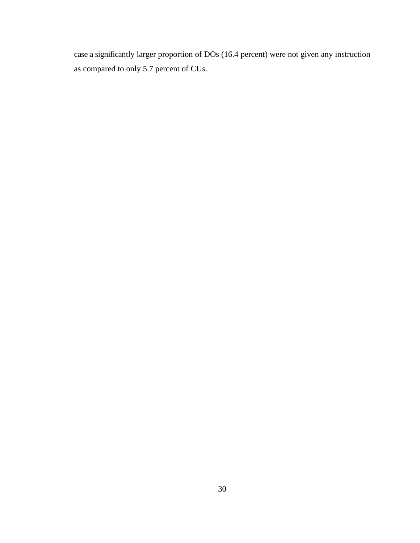case a significantly larger proportion of DOs (16.4 percent) were not given any instruction as compared to only 5.7 percent of CUs.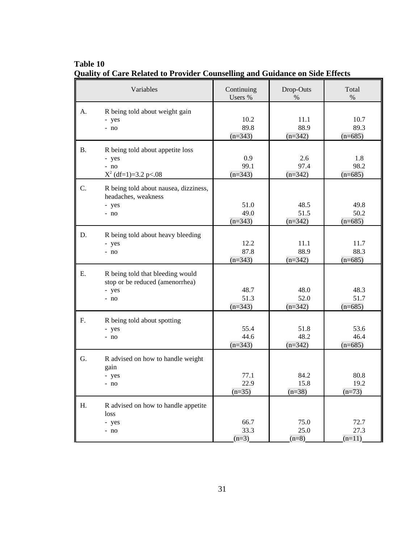|           | Variables                                                                            | Continuing<br>Users %     | Drop-Outs<br>%            | Total<br>$\%$             |
|-----------|--------------------------------------------------------------------------------------|---------------------------|---------------------------|---------------------------|
| A.        | R being told about weight gain<br>- yes<br>- no                                      | 10.2<br>89.8<br>$(n=343)$ | 11.1<br>88.9<br>$(n=342)$ | 10.7<br>89.3<br>$(n=685)$ |
| <b>B.</b> | R being told about appetite loss<br>- yes<br>$- no$<br>$X^2$ (df=1)=3.2 p<.08        | 0.9<br>99.1<br>$(n=343)$  | 2.6<br>97.4<br>$(n=342)$  | 1.8<br>98.2<br>$(n=685)$  |
| C.        | R being told about nausea, dizziness,<br>headaches, weakness<br>- yes<br>- no        | 51.0<br>49.0<br>$(n=343)$ | 48.5<br>51.5<br>$(n=342)$ | 49.8<br>50.2<br>$(n=685)$ |
| D.        | R being told about heavy bleeding<br>- yes<br>- no                                   | 12.2<br>87.8<br>$(n=343)$ | 11.1<br>88.9<br>$(n=342)$ | 11.7<br>88.3<br>$(n=685)$ |
| Е.        | R being told that bleeding would<br>stop or be reduced (amenorrhea)<br>- yes<br>- no | 48.7<br>51.3<br>$(n=343)$ | 48.0<br>52.0<br>$(n=342)$ | 48.3<br>51.7<br>$(n=685)$ |
| F.        | R being told about spotting<br>- yes<br>$- no$                                       | 55.4<br>44.6<br>$(n=343)$ | 51.8<br>48.2<br>$(n=342)$ | 53.6<br>46.4<br>$(n=685)$ |
| G.        | R advised on how to handle weight<br>gain<br>- yes<br>- no                           | 77.1<br>22.9<br>$(n=35)$  | 84.2<br>15.8<br>$(n=38)$  | 80.8<br>19.2<br>$(n=73)$  |
| Η.        | R advised on how to handle appetite<br>loss<br>- yes<br>- no                         | 66.7<br>33.3<br>$(n=3)$   | 75.0<br>25.0<br>$(n=8)$   | 72.7<br>27.3<br>$(n=11)$  |

**Table 10 Quality of Care Related to Provider Counselling and Guidance on Side Effects**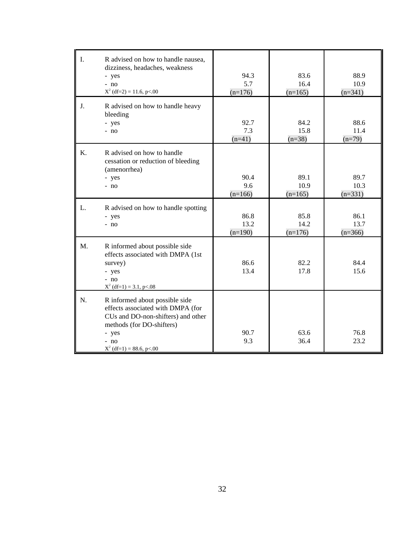| I. | R advised on how to handle nausea,<br>dizziness, headaches, weakness<br>- yes<br>$- no$<br>$X^2$ (df=2) = 11.6, p<.00                                                                 | 94.3<br>5.7<br>$(n=176)$  | 83.6<br>16.4<br>$(n=165)$ | 88.9<br>10.9<br>$(n=341)$ |
|----|---------------------------------------------------------------------------------------------------------------------------------------------------------------------------------------|---------------------------|---------------------------|---------------------------|
| J. | R advised on how to handle heavy<br>bleeding<br>- yes<br>$- no$                                                                                                                       | 92.7<br>7.3<br>$(n=41)$   | 84.2<br>15.8<br>$(n=38)$  | 88.6<br>11.4<br>$(n=79)$  |
| Κ. | R advised on how to handle<br>cessation or reduction of bleeding<br>(amenorrhea)<br>- yes<br>$- no$                                                                                   | 90.4<br>9.6<br>$(n=166)$  | 89.1<br>10.9<br>$(n=165)$ | 89.7<br>10.3<br>$(n=331)$ |
| L. | R advised on how to handle spotting<br>- yes<br>- no                                                                                                                                  | 86.8<br>13.2<br>$(n=190)$ | 85.8<br>14.2<br>$(n=176)$ | 86.1<br>13.7<br>$(n=366)$ |
| M. | R informed about possible side<br>effects associated with DMPA (1st<br>survey)<br>- yes<br>$- no$<br>$X^2$ (df=1) = 3.1, p<.08                                                        | 86.6<br>13.4              | 82.2<br>17.8              | 84.4<br>15.6              |
| N. | R informed about possible side<br>effects associated with DMPA (for<br>CUs and DO-non-shifters) and other<br>methods (for DO-shifters)<br>- yes<br>- no<br>$X^2$ (df=1) = 88.6, p<.00 | 90.7<br>9.3               | 63.6<br>36.4              | 76.8<br>23.2              |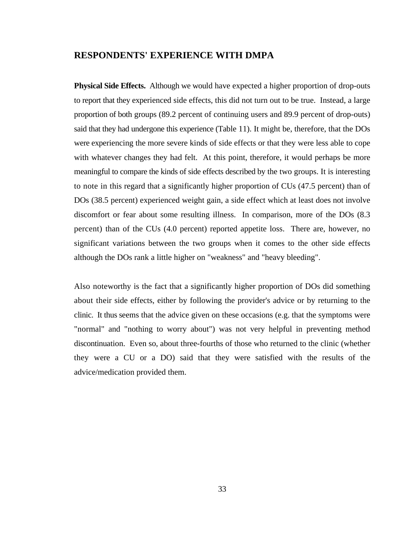#### **RESPONDENTS' EXPERIENCE WITH DMPA**

**Physical Side Effects.** Although we would have expected a higher proportion of drop-outs to report that they experienced side effects, this did not turn out to be true. Instead, a large proportion of both groups (89.2 percent of continuing users and 89.9 percent of drop-outs) said that they had undergone this experience (Table 11). It might be, therefore, that the DOs were experiencing the more severe kinds of side effects or that they were less able to cope with whatever changes they had felt. At this point, therefore, it would perhaps be more meaningful to compare the kinds of side effects described by the two groups. It is interesting to note in this regard that a significantly higher proportion of CUs (47.5 percent) than of DOs (38.5 percent) experienced weight gain, a side effect which at least does not involve discomfort or fear about some resulting illness. In comparison, more of the DOs (8.3 percent) than of the CUs (4.0 percent) reported appetite loss. There are, however, no significant variations between the two groups when it comes to the other side effects although the DOs rank a little higher on "weakness" and "heavy bleeding".

Also noteworthy is the fact that a significantly higher proportion of DOs did something about their side effects, either by following the provider's advice or by returning to the clinic. It thus seems that the advice given on these occasions (e.g. that the symptoms were "normal" and "nothing to worry about") was not very helpful in preventing method discontinuation. Even so, about three-fourths of those who returned to the clinic (whether they were a CU or a DO) said that they were satisfied with the results of the advice/medication provided them.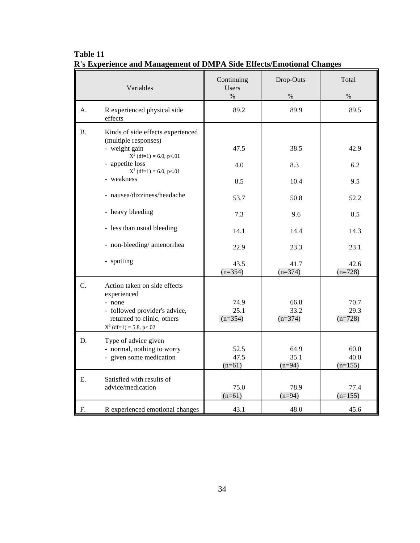|           | Variables                                                                                                                                         | Continuing<br><b>Users</b><br>$\%$ | Drop-Outs<br>$\%$         | Total<br>$\%$             |
|-----------|---------------------------------------------------------------------------------------------------------------------------------------------------|------------------------------------|---------------------------|---------------------------|
| A.        | R experienced physical side<br>effects                                                                                                            | 89.2                               | 89.9                      | 89.5                      |
| <b>B.</b> | Kinds of side effects experienced<br>(multiple responses)<br>- weight gain<br>$X^2$ (df=1) = 6.0, p<.01                                           | 47.5                               | 38.5                      | 42.9                      |
|           | - appetite loss<br>$X^2$ (df=1) = 6.0, p<.01                                                                                                      | 4.0                                | 8.3                       | 6.2                       |
|           | - weakness                                                                                                                                        | 8.5                                | 10.4                      | 9.5                       |
|           | - nausea/dizziness/headache                                                                                                                       | 53.7                               | 50.8                      | 52.2                      |
|           | - heavy bleeding                                                                                                                                  | 7.3                                | 9.6                       | 8.5                       |
|           | - less than usual bleeding                                                                                                                        | 14.1                               | 14.4                      | 14.3                      |
|           | - non-bleeding/amenorrhea                                                                                                                         | 22.9                               | 23.3                      | 23.1                      |
|           | - spotting                                                                                                                                        | 43.5<br>$(n=354)$                  | 41.7<br>$(n=374)$         | 42.6<br>$(n=728)$         |
| C.        | Action taken on side effects<br>experienced<br>- none<br>- followed provider's advice,<br>returned to clinic, others<br>$X^2$ (df=1) = 5.8, p<.02 | 74.9<br>25.1<br>$(n=354)$          | 66.8<br>33.2<br>$(n=374)$ | 70.7<br>29.3<br>$(n=728)$ |
| D.        | Type of advice given<br>- normal, nothing to worry<br>- given some medication                                                                     | 52.5<br>47.5<br>$(n=61)$           | 64.9<br>35.1<br>$(n=94)$  | 60.0<br>40.0<br>$(n=155)$ |
| Ε.        | Satisfied with results of<br>advice/medication                                                                                                    | 75.0<br>$(n=61)$                   | 78.9<br>$(n=94)$          | 77.4<br>$(n=155)$         |
| F.        | R experienced emotional changes                                                                                                                   | 43.1                               | 48.0                      | 45.6                      |

**Table 11 R's Experience and Management of DMPA Side Effects/Emotional Changes**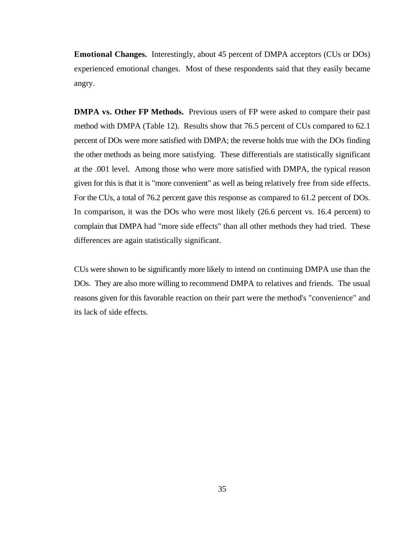**Emotional Changes.** Interestingly, about 45 percent of DMPA acceptors (CUs or DOs) experienced emotional changes. Most of these respondents said that they easily became angry.

**DMPA vs. Other FP Methods.** Previous users of FP were asked to compare their past method with DMPA (Table 12). Results show that 76.5 percent of CUs compared to 62.1 percent of DOs were more satisfied with DMPA; the reverse holds true with the DOs finding the other methods as being more satisfying. These differentials are statistically significant at the .001 level. Among those who were more satisfied with DMPA, the typical reason given for this is that it is "more convenient" as well as being relatively free from side effects. For the CUs, a total of 76.2 percent gave this response as compared to 61.2 percent of DOs. In comparison, it was the DOs who were most likely (26.6 percent vs. 16.4 percent) to complain that DMPA had "more side effects" than all other methods they had tried. These differences are again statistically significant.

CUs were shown to be significantly more likely to intend on continuing DMPA use than the DOs. They are also more willing to recommend DMPA to relatives and friends. The usual reasons given for this favorable reaction on their part were the method's "convenience" and its lack of side effects.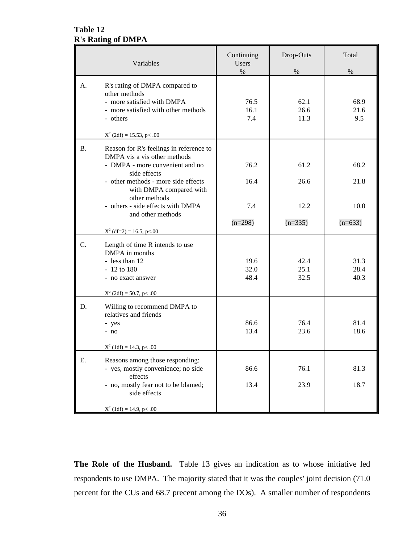# **Table 12 R's Rating of DMPA**

| Variables |                                                                                                                                                                                                                                                                                                                                       | Continuing<br>Users<br>$\%$      | Drop-Outs<br>$\%$                 | Total<br>$\%$                     |
|-----------|---------------------------------------------------------------------------------------------------------------------------------------------------------------------------------------------------------------------------------------------------------------------------------------------------------------------------------------|----------------------------------|-----------------------------------|-----------------------------------|
| A.        | R's rating of DMPA compared to<br>other methods<br>- more satisfied with DMPA<br>- more satisfied with other methods<br>- others                                                                                                                                                                                                      | 76.5<br>16.1<br>7.4              | 62.1<br>26.6<br>11.3              | 68.9<br>21.6<br>9.5               |
| <b>B.</b> | $X^2$ (2df) = 15.53, p < .00<br>Reason for R's feelings in reference to<br>DMPA vis a vis other methods<br>- DMPA - more convenient and no<br>side effects<br>- other methods - more side effects<br>with DMPA compared with<br>other methods<br>- others - side effects with DMPA<br>and other methods<br>$X^2$ (df=2) = 16.5, p<.00 | 76.2<br>16.4<br>7.4<br>$(n=298)$ | 61.2<br>26.6<br>12.2<br>$(n=335)$ | 68.2<br>21.8<br>10.0<br>$(n=633)$ |
| C.        | Length of time R intends to use<br>DMPA in months<br>- less than 12<br>$-12$ to 180<br>- no exact answer<br>$X^2$ (2df) = 50.7, p < .00                                                                                                                                                                                               | 19.6<br>32.0<br>48.4             | 42.4<br>25.1<br>32.5              | 31.3<br>28.4<br>40.3              |
| D.        | Willing to recommend DMPA to<br>relatives and friends<br>- yes<br>$- no$<br>$X^2$ (1df) = 14.3, p < .00                                                                                                                                                                                                                               | 86.6<br>13.4                     | 76.4<br>23.6                      | 81.4<br>18.6                      |
| E.        | Reasons among those responding:<br>- yes, mostly convenience; no side<br>effects<br>- no, mostly fear not to be blamed;<br>side effects<br>$X^2$ (1df) = 14.9, p < .00                                                                                                                                                                | 86.6<br>13.4                     | 76.1<br>23.9                      | 81.3<br>18.7                      |

**The Role of the Husband.** Table 13 gives an indication as to whose initiative led respondents to use DMPA. The majority stated that it was the couples' joint decision (71.0 percent for the CUs and 68.7 precent among the DOs). A smaller number of respondents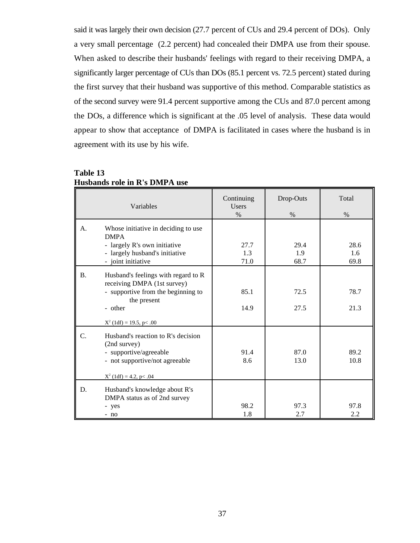said it was largely their own decision (27.7 percent of CUs and 29.4 percent of DOs). Only a very small percentage (2.2 percent) had concealed their DMPA use from their spouse. When asked to describe their husbands' feelings with regard to their receiving DMPA, a significantly larger percentage of CUs than DOs (85.1 percent vs. 72.5 percent) stated during the first survey that their husband was supportive of this method. Comparable statistics as of the second survey were 91.4 percent supportive among the CUs and 87.0 percent among the DOs, a difference which is significant at the .05 level of analysis. These data would appear to show that acceptance of DMPA is facilitated in cases where the husband is in agreement with its use by his wife.

|           | Variables                                                                                                                                                         | Continuing<br><b>Users</b><br>$\%$ | Drop-Outs<br>$\%$   | Total<br>$\%$       |
|-----------|-------------------------------------------------------------------------------------------------------------------------------------------------------------------|------------------------------------|---------------------|---------------------|
| A.        | Whose initiative in deciding to use<br><b>DMPA</b><br>- largely R's own initiative<br>- largely husband's initiative<br>- joint initiative                        | 27.7<br>1.3<br>71.0                | 29.4<br>1.9<br>68.7 | 28.6<br>1.6<br>69.8 |
| <b>B.</b> | Husband's feelings with regard to R<br>receiving DMPA (1st survey)<br>- supportive from the beginning to<br>the present<br>- other<br>$X^2$ (1df) = 19.5, p < .00 | 85.1<br>14.9                       | 72.5<br>27.5        | 78.7<br>21.3        |
| C.        | Husband's reaction to R's decision<br>(2nd survey)<br>- supportive/agreeable<br>- not supportive/not agreeable<br>$X^2$ (1df) = 4.2, p < .04                      | 91.4<br>8.6                        | 87.0<br>13.0        | 89.2<br>10.8        |
| D.        | Husband's knowledge about R's<br>DMPA status as of 2nd survey<br>- yes<br>- no                                                                                    | 98.2<br>1.8                        | 97.3<br>2.7         | 97.8<br>2.2         |

**Table 13 Husbands role in R's DMPA use**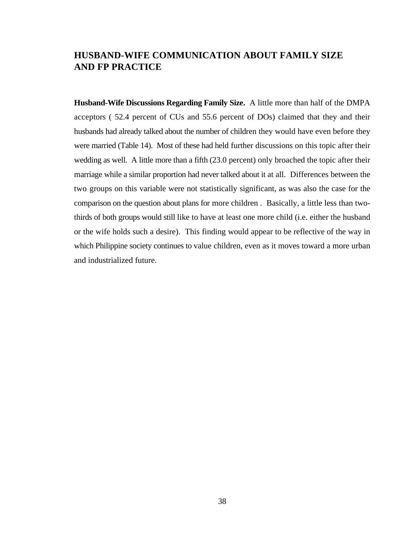# **HUSBAND-WIFE COMMUNICATION ABOUT FAMILY SIZE AND FP PRACTICE**

**Husband-Wife Discussions Regarding Family Size.** A little more than half of the DMPA acceptors ( 52.4 percent of CUs and 55.6 percent of DOs) claimed that they and their husbands had already talked about the number of children they would have even before they were married (Table 14). Most of these had held further discussions on this topic after their wedding as well. A little more than a fifth (23.0 percent) only broached the topic after their marriage while a similar proportion had never talked about it at all. Differences between the two groups on this variable were not statistically significant, as was also the case for the comparison on the question about plans for more children . Basically, a little less than twothirds of both groups would still like to have at least one more child (i.e. either the husband or the wife holds such a desire). This finding would appear to be reflective of the way in which Philippine society continues to value children, even as it moves toward a more urban and industrialized future.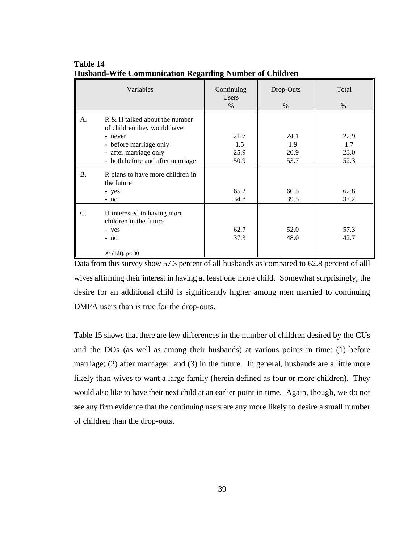|    | Variables                                                                                                                                                      | Continuing<br><b>Users</b><br>$\%$ | Drop-Outs<br>$\%$           | Total<br>$\%$               |
|----|----------------------------------------------------------------------------------------------------------------------------------------------------------------|------------------------------------|-----------------------------|-----------------------------|
| A. | R & H talked about the number<br>of children they would have<br>- never<br>- before marriage only<br>- after marriage only<br>- both before and after marriage | 21.7<br>1.5<br>25.9<br>50.9        | 24.1<br>1.9<br>20.9<br>53.7 | 22.9<br>1.7<br>23.0<br>52.3 |
| B. | R plans to have more children in<br>the future<br>- yes<br>$- no$                                                                                              | 65.2<br>34.8                       | 60.5<br>39.5                | 62.8<br>37.2                |
| C. | H interested in having more<br>children in the future<br>- yes<br>$- no$<br>$X^2$ (1df), p<.00                                                                 | 62.7<br>37.3                       | 52.0<br>48.0                | 57.3<br>42.7                |

**Table 14 Husband-Wife Communication Regarding Number of Children**

Data from this survey show 57.3 percent of all husbands as compared to 62.8 percent of alll wives affirming their interest in having at least one more child. Somewhat surprisingly, the desire for an additional child is significantly higher among men married to continuing DMPA users than is true for the drop-outs.

Table 15 shows that there are few differences in the number of children desired by the CUs and the DOs (as well as among their husbands) at various points in time: (1) before marriage; (2) after marriage; and (3) in the future. In general, husbands are a little more likely than wives to want a large family (herein defined as four or more children). They would also like to have their next child at an earlier point in time. Again, though, we do not see any firm evidence that the continuing users are any more likely to desire a small number of children than the drop-outs.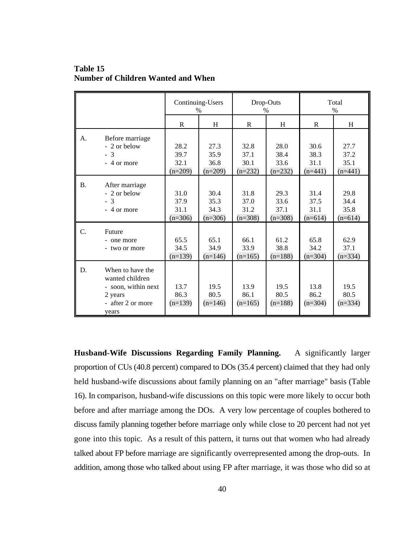|           |                                                                                                     | Continuing-Users<br>%     |                           | Drop-Outs<br>$\%$         |                           | Total<br>$\%$             |                           |
|-----------|-----------------------------------------------------------------------------------------------------|---------------------------|---------------------------|---------------------------|---------------------------|---------------------------|---------------------------|
|           |                                                                                                     | R                         | H                         | R.                        | H                         | R                         | H                         |
| A.        | Before marriage                                                                                     | 28.2                      | 27.3                      | 32.8                      | 28.0                      | 30.6                      | 27.7                      |
|           | - 2 or below                                                                                        | 39.7                      | 35.9                      | 37.1                      | 38.4                      | 38.3                      | 37.2                      |
|           | $-3$                                                                                                | 32.1                      | 36.8                      | 30.1                      | 33.6                      | 31.1                      | 35.1                      |
|           | - 4 or more                                                                                         | $(n=209)$                 | $(n=209)$                 | $(n=232)$                 | $(n=232)$                 | $(n=441)$                 | $(n=441)$                 |
| <b>B.</b> | After marriage                                                                                      | 31.0                      | 30.4                      | 31.8                      | 29.3                      | 31.4                      | 29.8                      |
|           | - 2 or below                                                                                        | 37.9                      | 35.3                      | 37.0                      | 33.6                      | 37.5                      | 34.4                      |
|           | $-3$                                                                                                | 31.1                      | 34.3                      | 31.2                      | 37.1                      | 31.1                      | 35.8                      |
|           | - 4 or more                                                                                         | $(n=306)$                 | $(n=306)$                 | $(n=308)$                 | $(n=308)$                 | $(n=614)$                 | $(n=614)$                 |
| C.        | Future                                                                                              | 65.5                      | 65.1                      | 66.1                      | 61.2                      | 65.8                      | 62.9                      |
|           | - one more                                                                                          | 34.5                      | 34.9                      | 33.9                      | 38.8                      | 34.2                      | 37.1                      |
|           | - two or more                                                                                       | $(n=139)$                 | $(n=146)$                 | $(n=165)$                 | $(n=188)$                 | $(n=304)$                 | $(n=334)$                 |
| D.        | When to have the<br>wanted children<br>- soon, within next<br>2 years<br>- after 2 or more<br>years | 13.7<br>86.3<br>$(n=139)$ | 19.5<br>80.5<br>$(n=146)$ | 13.9<br>86.1<br>$(n=165)$ | 19.5<br>80.5<br>$(n=188)$ | 13.8<br>86.2<br>$(n=304)$ | 19.5<br>80.5<br>$(n=334)$ |

**Table 15 Number of Children Wanted and When**

**Husband-Wife Discussions Regarding Family Planning.** A significantly larger proportion of CUs (40.8 percent) compared to DOs (35.4 percent) claimed that they had only held husband-wife discussions about family planning on an "after marriage" basis (Table 16). In comparison, husband-wife discussions on this topic were more likely to occur both before and after marriage among the DOs. A very low percentage of couples bothered to discuss family planning together before marriage only while close to 20 percent had not yet gone into this topic. As a result of this pattern, it turns out that women who had already talked about FP before marriage are significantly overrepresented among the drop-outs. In addition, among those who talked about using FP after marriage, it was those who did so at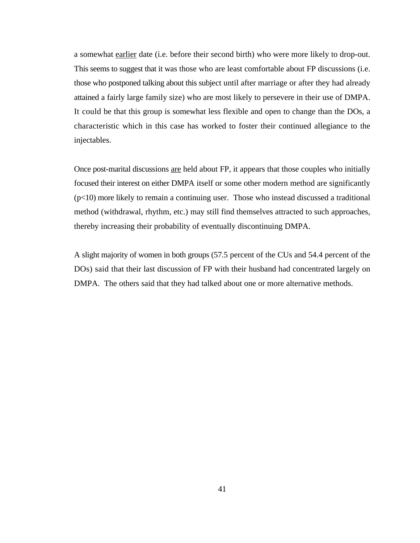a somewhat earlier date (i.e. before their second birth) who were more likely to drop-out. This seems to suggest that it was those who are least comfortable about FP discussions (i.e. those who postponed talking about this subject until after marriage or after they had already attained a fairly large family size) who are most likely to persevere in their use of DMPA. It could be that this group is somewhat less flexible and open to change than the DOs, a characteristic which in this case has worked to foster their continued allegiance to the injectables.

Once post-marital discussions are held about FP, it appears that those couples who initially focused their interest on either DMPA itself or some other modern method are significantly (p<10) more likely to remain a continuing user. Those who instead discussed a traditional method (withdrawal, rhythm, etc.) may still find themselves attracted to such approaches, thereby increasing their probability of eventually discontinuing DMPA.

A slight majority of women in both groups (57.5 percent of the CUs and 54.4 percent of the DOs) said that their last discussion of FP with their husband had concentrated largely on DMPA. The others said that they had talked about one or more alternative methods.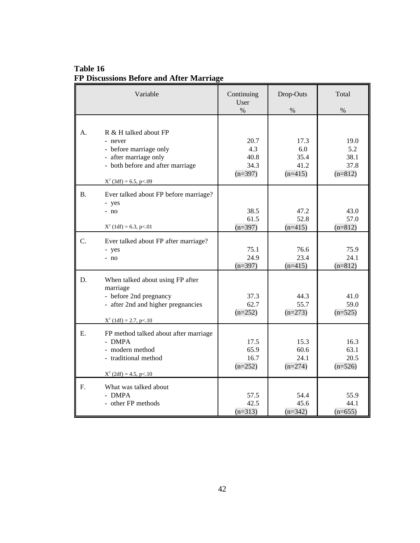# **Table 16 FP Discussions Before and After Marriage**

|           | Variable                                                                                                                                            | Continuing<br>User<br>$\%$               | Drop-Outs<br>$\%$                        | Total<br>$\%$                            |
|-----------|-----------------------------------------------------------------------------------------------------------------------------------------------------|------------------------------------------|------------------------------------------|------------------------------------------|
| А.        | R & H talked about FP<br>- never<br>- before marriage only<br>- after marriage only<br>- both before and after marriage<br>$X^2$ (3df) = 6.5, p<.09 | 20.7<br>4.3<br>40.8<br>34.3<br>$(n=397)$ | 17.3<br>6.0<br>35.4<br>41.2<br>$(n=415)$ | 19.0<br>5.2<br>38.1<br>37.8<br>$(n=812)$ |
| <b>B.</b> | Ever talked about FP before marriage?<br>- yes<br>$- no$<br>$X^2$ (1df) = 6.3, p<.01                                                                | 38.5<br>61.5<br>$(n=397)$                | 47.2<br>52.8<br>$(n=415)$                | 43.0<br>57.0<br>$(n=812)$                |
| C.        | Ever talked about FP after marriage?<br>- yes<br>$- no$                                                                                             | 75.1<br>24.9<br>$(n=397)$                | 76.6<br>23.4<br>$(n=415)$                | 75.9<br>24.1<br>$(n=812)$                |
| D.        | When talked about using FP after<br>marriage<br>- before 2nd pregnancy<br>- after 2nd and higher pregnancies<br>$X^2$ (1df) = 2.7, p < .10          | 37.3<br>62.7<br>$(n=252)$                | 44.3<br>55.7<br>$(n=273)$                | 41.0<br>59.0<br>$(n=525)$                |
| E.        | FP method talked about after marriage<br>- DMPA<br>- modern method<br>- traditional method<br>$X^2$ (2df) = 4.5, p<.10                              | 17.5<br>65.9<br>16.7<br>$(n=252)$        | 15.3<br>60.6<br>24.1<br>$(n=274)$        | 16.3<br>63.1<br>20.5<br>$(n=526)$        |
| F.        | What was talked about<br>- DMPA<br>- other FP methods                                                                                               | 57.5<br>42.5<br>$(n=313)$                | 54.4<br>45.6<br>$(n=342)$                | 55.9<br>44.1<br>$(n=655)$                |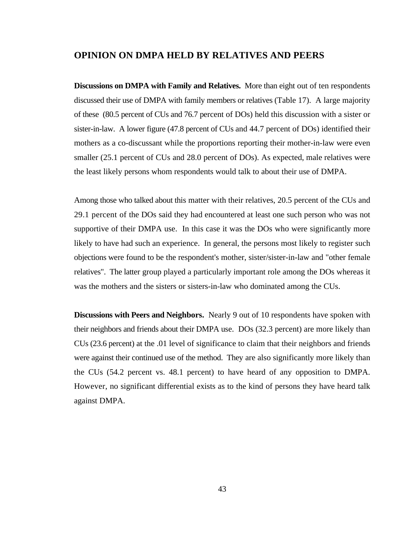### **OPINION ON DMPA HELD BY RELATIVES AND PEERS**

**Discussions on DMPA with Family and Relatives.** More than eight out of ten respondents discussed their use of DMPA with family members or relatives (Table 17). A large majority of these (80.5 percent of CUs and 76.7 percent of DOs) held this discussion with a sister or sister-in-law. A lower figure (47.8 percent of CUs and 44.7 percent of DOs) identified their mothers as a co-discussant while the proportions reporting their mother-in-law were even smaller (25.1 percent of CUs and 28.0 percent of DOs). As expected, male relatives were the least likely persons whom respondents would talk to about their use of DMPA.

Among those who talked about this matter with their relatives, 20.5 percent of the CUs and 29.1 percent of the DOs said they had encountered at least one such person who was not supportive of their DMPA use. In this case it was the DOs who were significantly more likely to have had such an experience. In general, the persons most likely to register such objections were found to be the respondent's mother, sister/sister-in-law and "other female relatives". The latter group played a particularly important role among the DOs whereas it was the mothers and the sisters or sisters-in-law who dominated among the CUs.

**Discussions with Peers and Neighbors.** Nearly 9 out of 10 respondents have spoken with their neighbors and friends about their DMPA use. DOs (32.3 percent) are more likely than CUs (23.6 percent) at the .01 level of significance to claim that their neighbors and friends were against their continued use of the method. They are also significantly more likely than the CUs (54.2 percent vs. 48.1 percent) to have heard of any opposition to DMPA. However, no significant differential exists as to the kind of persons they have heard talk against DMPA.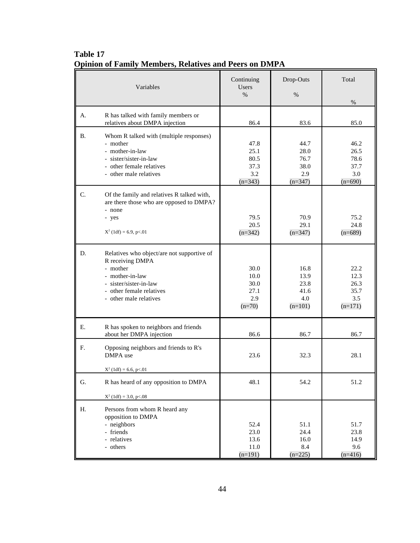| Variables |                                                                                                                                                                               | Continuing<br>Users<br>$\%$                      | Drop-Outs<br>$\%$                                | Total<br>$\%$                                    |
|-----------|-------------------------------------------------------------------------------------------------------------------------------------------------------------------------------|--------------------------------------------------|--------------------------------------------------|--------------------------------------------------|
| A.        | R has talked with family members or<br>relatives about DMPA injection                                                                                                         | 86.4                                             | 83.6                                             | 85.0                                             |
| В.        | Whom R talked with (multiple responses)<br>- mother<br>- mother-in-law<br>- sister/sister-in-law<br>- other female relatives<br>- other male relatives                        | 47.8<br>25.1<br>80.5<br>37.3<br>3.2<br>$(n=343)$ | 44.7<br>28.0<br>76.7<br>38.0<br>2.9<br>$(n=347)$ | 46.2<br>26.5<br>78.6<br>37.7<br>3.0<br>$(n=690)$ |
| C.        | Of the family and relatives R talked with,<br>are there those who are opposed to DMPA?<br>- none<br>- yes<br>$X^2$ (1df) = 6.9, p<.01                                         | 79.5<br>20.5<br>$(n=342)$                        | 70.9<br>29.1<br>$(n=347)$                        | 75.2<br>24.8<br>$(n=689)$                        |
| D.        | Relatives who object/are not supportive of<br>R receiving DMPA<br>- mother<br>- mother-in-law<br>- sister/sister-in-law<br>- other female relatives<br>- other male relatives | 30.0<br>10.0<br>30.0<br>27.1<br>2.9<br>$(n=70)$  | 16.8<br>13.9<br>23.8<br>41.6<br>4.0<br>$(n=101)$ | 22.2<br>12.3<br>26.3<br>35.7<br>3.5<br>$(n=171)$ |
| Ε.        | R has spoken to neighbors and friends<br>about her DMPA injection                                                                                                             | 86.6                                             | 86.7                                             | 86.7                                             |
| F.        | Opposing neighbors and friends to R's<br>DMPA use<br>$X^2$ (1df) = 6.6, p<.01                                                                                                 | 23.6                                             | 32.3                                             | 28.1                                             |
| G.        | R has heard of any opposition to DMPA                                                                                                                                         | 48.1                                             | 54.2                                             | 51.2                                             |
| Η.        | $X^2$ (1df) = 3.0, p<.08<br>Persons from whom R heard any<br>opposition to DMPA<br>- neighbors<br>- friends<br>- relatives<br>- others                                        | 52.4<br>23.0<br>13.6<br>11.0<br>$(n=191)$        | 51.1<br>24.4<br>16.0<br>8.4<br>$(n=225)$         | 51.7<br>23.8<br>14.9<br>9.6<br>$(n=416)$         |

# **Table 17 Opinion of Family Members, Relatives and Peers on DMPA**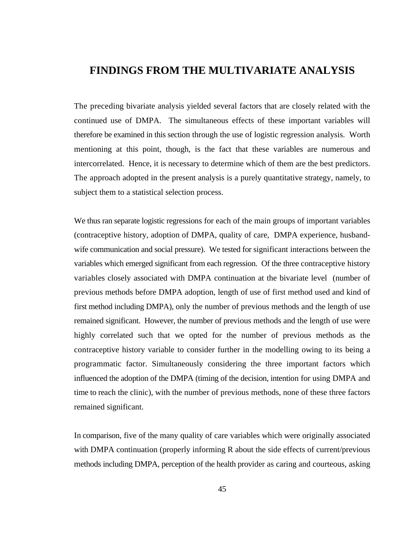## **FINDINGS FROM THE MULTIVARIATE ANALYSIS**

The preceding bivariate analysis yielded several factors that are closely related with the continued use of DMPA. The simultaneous effects of these important variables will therefore be examined in this section through the use of logistic regression analysis. Worth mentioning at this point, though, is the fact that these variables are numerous and intercorrelated. Hence, it is necessary to determine which of them are the best predictors. The approach adopted in the present analysis is a purely quantitative strategy, namely, to subject them to a statistical selection process.

We thus ran separate logistic regressions for each of the main groups of important variables (contraceptive history, adoption of DMPA, quality of care, DMPA experience, husbandwife communication and social pressure). We tested for significant interactions between the variables which emerged significant from each regression. Of the three contraceptive history variables closely associated with DMPA continuation at the bivariate level (number of previous methods before DMPA adoption, length of use of first method used and kind of first method including DMPA), only the number of previous methods and the length of use remained significant. However, the number of previous methods and the length of use were highly correlated such that we opted for the number of previous methods as the contraceptive history variable to consider further in the modelling owing to its being a programmatic factor. Simultaneously considering the three important factors which influenced the adoption of the DMPA (timing of the decision, intention for using DMPA and time to reach the clinic), with the number of previous methods, none of these three factors remained significant.

In comparison, five of the many quality of care variables which were originally associated with DMPA continuation (properly informing R about the side effects of current/previous methods including DMPA, perception of the health provider as caring and courteous, asking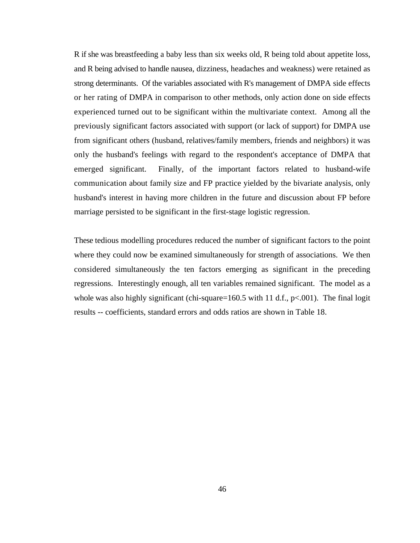R if she was breastfeeding a baby less than six weeks old, R being told about appetite loss, and R being advised to handle nausea, dizziness, headaches and weakness) were retained as strong determinants. Of the variables associated with R's management of DMPA side effects or her rating of DMPA in comparison to other methods, only action done on side effects experienced turned out to be significant within the multivariate context. Among all the previously significant factors associated with support (or lack of support) for DMPA use from significant others (husband, relatives/family members, friends and neighbors) it was only the husband's feelings with regard to the respondent's acceptance of DMPA that emerged significant. Finally, of the important factors related to husband-wife communication about family size and FP practice yielded by the bivariate analysis, only husband's interest in having more children in the future and discussion about FP before marriage persisted to be significant in the first-stage logistic regression.

These tedious modelling procedures reduced the number of significant factors to the point where they could now be examined simultaneously for strength of associations. We then considered simultaneously the ten factors emerging as significant in the preceding regressions. Interestingly enough, all ten variables remained significant. The model as a whole was also highly significant (chi-square=160.5 with 11 d.f.,  $p<0.001$ ). The final logit results -- coefficients, standard errors and odds ratios are shown in Table 18.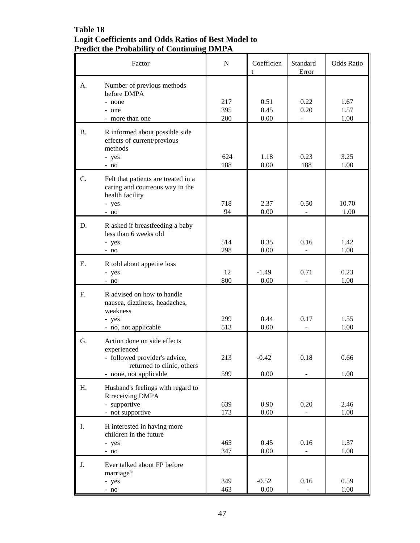### **Table 18 Logit Coefficients and Odds Ratios of Best Model to Predict the Probability of Continuing DMPA**

|           | Factor                                                                                                                              | $\mathbf N$       | Coefficien<br>t      | Standard<br>Error | <b>Odds Ratio</b>    |
|-----------|-------------------------------------------------------------------------------------------------------------------------------------|-------------------|----------------------|-------------------|----------------------|
| A.        | Number of previous methods<br>before DMPA<br>- none<br>- one<br>- more than one                                                     | 217<br>395<br>200 | 0.51<br>0.45<br>0.00 | 0.22<br>0.20      | 1.67<br>1.57<br>1.00 |
| <b>B.</b> | R informed about possible side<br>effects of current/previous<br>methods<br>- yes<br>$- no$                                         | 624<br>188        | 1.18<br>0.00         | 0.23<br>188       | 3.25<br>1.00         |
| C.        | Felt that patients are treated in a<br>caring and courteous way in the<br>health facility<br>- yes<br>$- no$                        | 718<br>94         | 2.37<br>0.00         | 0.50              | 10.70<br>1.00        |
| D.        | R asked if breastfeeding a baby<br>less than 6 weeks old<br>- yes<br>$- no$                                                         | 514<br>298        | 0.35<br>0.00         | 0.16              | 1.42<br>1.00         |
| Е.        | R told about appetite loss<br>- yes<br>$- no$                                                                                       | 12<br>800         | $-1.49$<br>0.00      | 0.71              | 0.23<br>1.00         |
| F.        | R advised on how to handle<br>nausea, dizziness, headaches,<br>weakness<br>- yes<br>- no, not applicable                            | 299<br>513        | 0.44<br>0.00         | 0.17              | 1.55<br>1.00         |
| G.        | Action done on side effects<br>experienced<br>- followed provider's advice,<br>returned to clinic, others<br>- none, not applicable | 213<br>599        | $-0.42$<br>0.00      | 0.18              | 0.66<br>1.00         |
| Η.        | Husband's feelings with regard to<br>R receiving DMPA<br>- supportive<br>- not supportive                                           | 639<br>173        | 0.90<br>0.00         | 0.20              | 2.46<br>1.00         |
| I.        | H interested in having more<br>children in the future<br>- yes<br>$- no$                                                            | 465<br>347        | 0.45<br>0.00         | 0.16              | 1.57<br>1.00         |
| J.        | Ever talked about FP before<br>marriage?<br>- yes<br>$- no$                                                                         | 349<br>463        | $-0.52$<br>0.00      | 0.16              | 0.59<br>1.00         |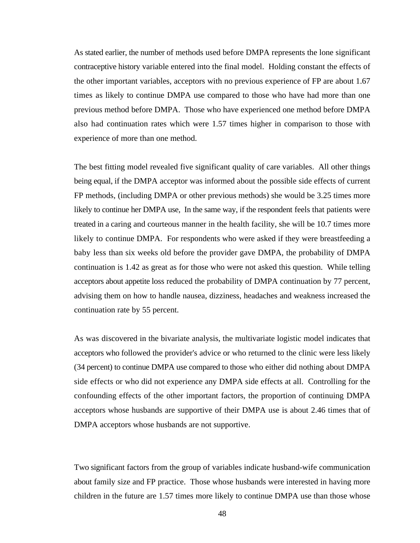As stated earlier, the number of methods used before DMPA represents the lone significant contraceptive history variable entered into the final model. Holding constant the effects of the other important variables, acceptors with no previous experience of FP are about 1.67 times as likely to continue DMPA use compared to those who have had more than one previous method before DMPA. Those who have experienced one method before DMPA also had continuation rates which were 1.57 times higher in comparison to those with experience of more than one method.

The best fitting model revealed five significant quality of care variables. All other things being equal, if the DMPA acceptor was informed about the possible side effects of current FP methods, (including DMPA or other previous methods) she would be 3.25 times more likely to continue her DMPA use, In the same way, if the respondent feels that patients were treated in a caring and courteous manner in the health facility, she will be 10.7 times more likely to continue DMPA. For respondents who were asked if they were breastfeeding a baby less than six weeks old before the provider gave DMPA, the probability of DMPA continuation is 1.42 as great as for those who were not asked this question. While telling acceptors about appetite loss reduced the probability of DMPA continuation by 77 percent, advising them on how to handle nausea, dizziness, headaches and weakness increased the continuation rate by 55 percent.

As was discovered in the bivariate analysis, the multivariate logistic model indicates that acceptors who followed the provider's advice or who returned to the clinic were less likely (34 percent) to continue DMPA use compared to those who either did nothing about DMPA side effects or who did not experience any DMPA side effects at all. Controlling for the confounding effects of the other important factors, the proportion of continuing DMPA acceptors whose husbands are supportive of their DMPA use is about 2.46 times that of DMPA acceptors whose husbands are not supportive.

Two significant factors from the group of variables indicate husband-wife communication about family size and FP practice. Those whose husbands were interested in having more children in the future are 1.57 times more likely to continue DMPA use than those whose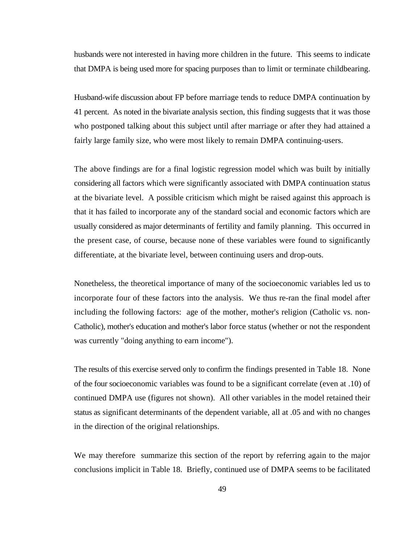husbands were not interested in having more children in the future. This seems to indicate that DMPA is being used more for spacing purposes than to limit or terminate childbearing.

Husband-wife discussion about FP before marriage tends to reduce DMPA continuation by 41 percent. As noted in the bivariate analysis section, this finding suggests that it was those who postponed talking about this subject until after marriage or after they had attained a fairly large family size, who were most likely to remain DMPA continuing-users.

The above findings are for a final logistic regression model which was built by initially considering all factors which were significantly associated with DMPA continuation status at the bivariate level. A possible criticism which might be raised against this approach is that it has failed to incorporate any of the standard social and economic factors which are usually considered as major determinants of fertility and family planning. This occurred in the present case, of course, because none of these variables were found to significantly differentiate, at the bivariate level, between continuing users and drop-outs.

Nonetheless, the theoretical importance of many of the socioeconomic variables led us to incorporate four of these factors into the analysis. We thus re-ran the final model after including the following factors: age of the mother, mother's religion (Catholic vs. non-Catholic), mother's education and mother's labor force status (whether or not the respondent was currently "doing anything to earn income").

The results of this exercise served only to confirm the findings presented in Table 18. None of the four socioeconomic variables was found to be a significant correlate (even at .10) of continued DMPA use (figures not shown). All other variables in the model retained their status as significant determinants of the dependent variable, all at .05 and with no changes in the direction of the original relationships.

We may therefore summarize this section of the report by referring again to the major conclusions implicit in Table 18. Briefly, continued use of DMPA seems to be facilitated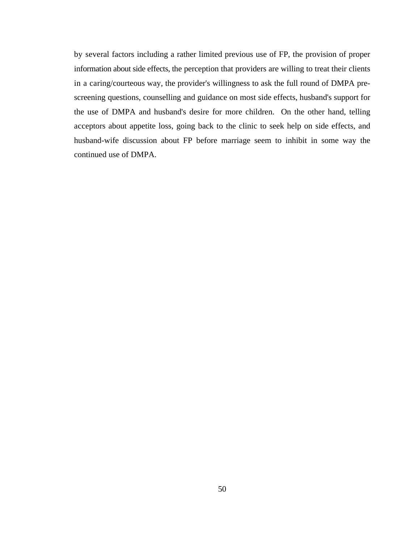by several factors including a rather limited previous use of FP, the provision of proper information about side effects, the perception that providers are willing to treat their clients in a caring/courteous way, the provider's willingness to ask the full round of DMPA prescreening questions, counselling and guidance on most side effects, husband's support for the use of DMPA and husband's desire for more children. On the other hand, telling acceptors about appetite loss, going back to the clinic to seek help on side effects, and husband-wife discussion about FP before marriage seem to inhibit in some way the continued use of DMPA.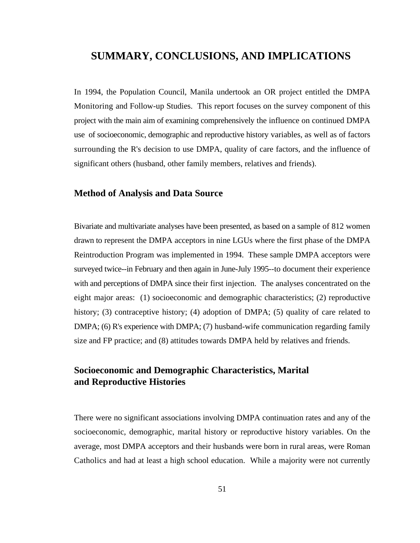# **SUMMARY, CONCLUSIONS, AND IMPLICATIONS**

In 1994, the Population Council, Manila undertook an OR project entitled the DMPA Monitoring and Follow-up Studies. This report focuses on the survey component of this project with the main aim of examining comprehensively the influence on continued DMPA use of socioeconomic, demographic and reproductive history variables, as well as of factors surrounding the R's decision to use DMPA, quality of care factors, and the influence of significant others (husband, other family members, relatives and friends).

#### **Method of Analysis and Data Source**

Bivariate and multivariate analyses have been presented, as based on a sample of 812 women drawn to represent the DMPA acceptors in nine LGUs where the first phase of the DMPA Reintroduction Program was implemented in 1994. These sample DMPA acceptors were surveyed twice--in February and then again in June-July 1995--to document their experience with and perceptions of DMPA since their first injection. The analyses concentrated on the eight major areas: (1) socioeconomic and demographic characteristics; (2) reproductive history; (3) contraceptive history; (4) adoption of DMPA; (5) quality of care related to DMPA; (6) R's experience with DMPA; (7) husband-wife communication regarding family size and FP practice; and (8) attitudes towards DMPA held by relatives and friends.

# **Socioeconomic and Demographic Characteristics, Marital and Reproductive Histories**

There were no significant associations involving DMPA continuation rates and any of the socioeconomic, demographic, marital history or reproductive history variables. On the average, most DMPA acceptors and their husbands were born in rural areas, were Roman Catholics and had at least a high school education. While a majority were not currently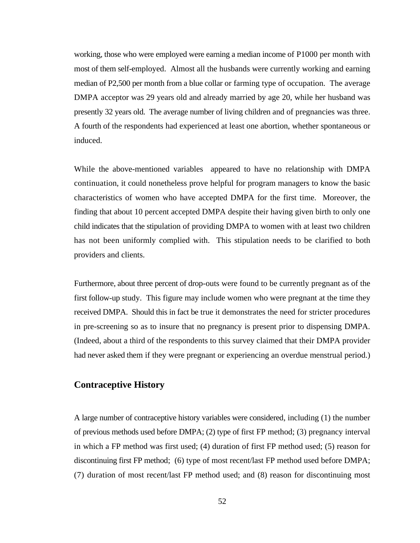working, those who were employed were earning a median income of P1000 per month with most of them self-employed. Almost all the husbands were currently working and earning median of P2,500 per month from a blue collar or farming type of occupation. The average DMPA acceptor was 29 years old and already married by age 20, while her husband was presently 32 years old. The average number of living children and of pregnancies was three. A fourth of the respondents had experienced at least one abortion, whether spontaneous or induced.

While the above-mentioned variables appeared to have no relationship with DMPA continuation, it could nonetheless prove helpful for program managers to know the basic characteristics of women who have accepted DMPA for the first time. Moreover, the finding that about 10 percent accepted DMPA despite their having given birth to only one child indicates that the stipulation of providing DMPA to women with at least two children has not been uniformly complied with. This stipulation needs to be clarified to both providers and clients.

Furthermore, about three percent of drop-outs were found to be currently pregnant as of the first follow-up study. This figure may include women who were pregnant at the time they received DMPA. Should this in fact be true it demonstrates the need for stricter procedures in pre-screening so as to insure that no pregnancy is present prior to dispensing DMPA. (Indeed, about a third of the respondents to this survey claimed that their DMPA provider had never asked them if they were pregnant or experiencing an overdue menstrual period.)

### **Contraceptive History**

A large number of contraceptive history variables were considered, including (1) the number of previous methods used before DMPA; (2) type of first FP method; (3) pregnancy interval in which a FP method was first used; (4) duration of first FP method used; (5) reason for discontinuing first FP method; (6) type of most recent/last FP method used before DMPA; (7) duration of most recent/last FP method used; and (8) reason for discontinuing most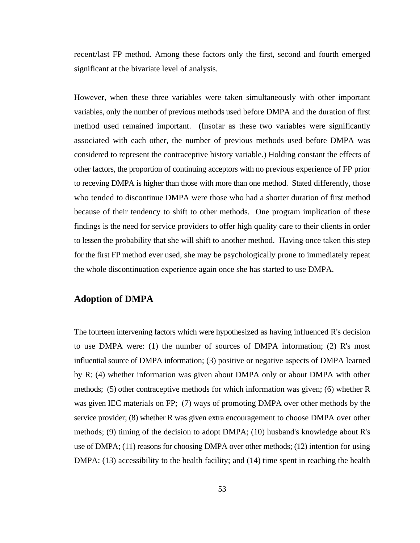recent/last FP method. Among these factors only the first, second and fourth emerged significant at the bivariate level of analysis.

However, when these three variables were taken simultaneously with other important variables, only the number of previous methods used before DMPA and the duration of first method used remained important. (Insofar as these two variables were significantly associated with each other, the number of previous methods used before DMPA was considered to represent the contraceptive history variable.) Holding constant the effects of other factors, the proportion of continuing acceptors with no previous experience of FP prior to receving DMPA is higher than those with more than one method. Stated differently, those who tended to discontinue DMPA were those who had a shorter duration of first method because of their tendency to shift to other methods. One program implication of these findings is the need for service providers to offer high quality care to their clients in order to lessen the probability that she will shift to another method. Having once taken this step for the first FP method ever used, she may be psychologically prone to immediately repeat the whole discontinuation experience again once she has started to use DMPA.

### **Adoption of DMPA**

The fourteen intervening factors which were hypothesized as having influenced R's decision to use DMPA were: (1) the number of sources of DMPA information; (2) R's most influential source of DMPA information; (3) positive or negative aspects of DMPA learned by R; (4) whether information was given about DMPA only or about DMPA with other methods; (5) other contraceptive methods for which information was given; (6) whether R was given IEC materials on FP; (7) ways of promoting DMPA over other methods by the service provider; (8) whether R was given extra encouragement to choose DMPA over other methods; (9) timing of the decision to adopt DMPA; (10) husband's knowledge about R's use of DMPA; (11) reasons for choosing DMPA over other methods; (12) intention for using DMPA; (13) accessibility to the health facility; and (14) time spent in reaching the health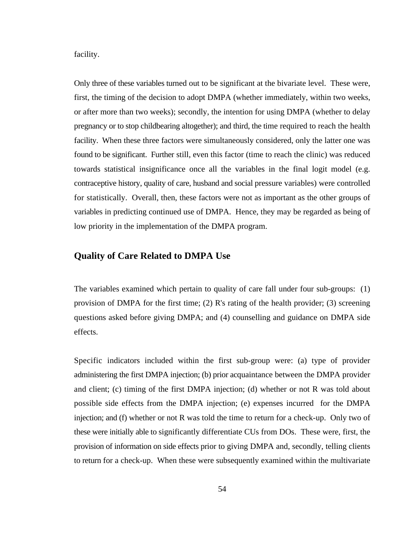facility.

Only three of these variables turned out to be significant at the bivariate level. These were, first, the timing of the decision to adopt DMPA (whether immediately, within two weeks, or after more than two weeks); secondly, the intention for using DMPA (whether to delay pregnancy or to stop childbearing altogether); and third, the time required to reach the health facility. When these three factors were simultaneously considered, only the latter one was found to be significant. Further still, even this factor (time to reach the clinic) was reduced towards statistical insignificance once all the variables in the final logit model (e.g. contraceptive history, quality of care, husband and social pressure variables) were controlled for statistically. Overall, then, these factors were not as important as the other groups of variables in predicting continued use of DMPA. Hence, they may be regarded as being of low priority in the implementation of the DMPA program.

#### **Quality of Care Related to DMPA Use**

The variables examined which pertain to quality of care fall under four sub-groups: (1) provision of DMPA for the first time; (2) R's rating of the health provider; (3) screening questions asked before giving DMPA; and (4) counselling and guidance on DMPA side effects.

Specific indicators included within the first sub-group were: (a) type of provider administering the first DMPA injection; (b) prior acquaintance between the DMPA provider and client; (c) timing of the first DMPA injection; (d) whether or not R was told about possible side effects from the DMPA injection; (e) expenses incurred for the DMPA injection; and (f) whether or not R was told the time to return for a check-up. Only two of these were initially able to significantly differentiate CUs from DOs. These were, first, the provision of information on side effects prior to giving DMPA and, secondly, telling clients to return for a check-up. When these were subsequently examined within the multivariate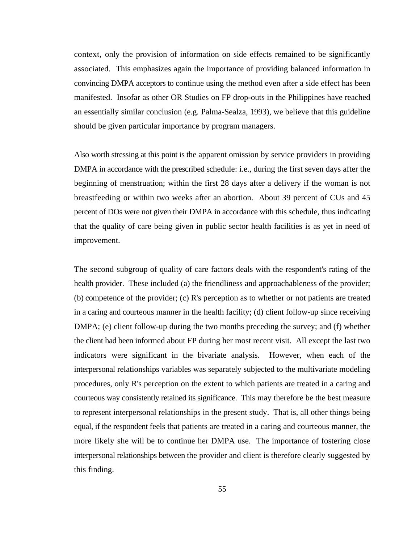context, only the provision of information on side effects remained to be significantly associated. This emphasizes again the importance of providing balanced information in convincing DMPA acceptors to continue using the method even after a side effect has been manifested. Insofar as other OR Studies on FP drop-outs in the Philippines have reached an essentially similar conclusion (e.g. Palma-Sealza, 1993), we believe that this guideline should be given particular importance by program managers.

Also worth stressing at this point is the apparent omission by service providers in providing DMPA in accordance with the prescribed schedule: i.e., during the first seven days after the beginning of menstruation; within the first 28 days after a delivery if the woman is not breastfeeding or within two weeks after an abortion. About 39 percent of CUs and 45 percent of DOs were not given their DMPA in accordance with this schedule, thus indicating that the quality of care being given in public sector health facilities is as yet in need of improvement.

The second subgroup of quality of care factors deals with the respondent's rating of the health provider. These included (a) the friendliness and approachableness of the provider; (b) competence of the provider; (c) R's perception as to whether or not patients are treated in a caring and courteous manner in the health facility; (d) client follow-up since receiving DMPA; (e) client follow-up during the two months preceding the survey; and (f) whether the client had been informed about FP during her most recent visit. All except the last two indicators were significant in the bivariate analysis. However, when each of the interpersonal relationships variables was separately subjected to the multivariate modeling procedures, only R's perception on the extent to which patients are treated in a caring and courteous way consistently retained its significance. This may therefore be the best measure to represent interpersonal relationships in the present study. That is, all other things being equal, if the respondent feels that patients are treated in a caring and courteous manner, the more likely she will be to continue her DMPA use. The importance of fostering close interpersonal relationships between the provider and client is therefore clearly suggested by this finding.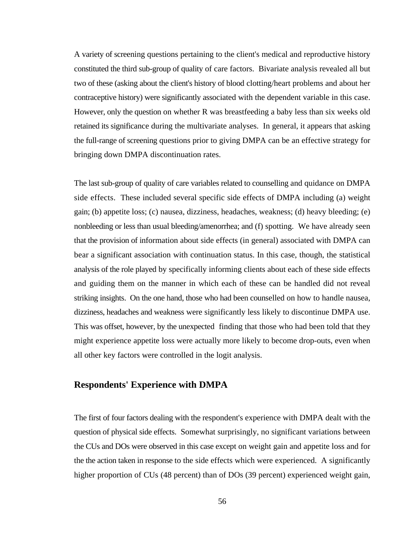A variety of screening questions pertaining to the client's medical and reproductive history constituted the third sub-group of quality of care factors. Bivariate analysis revealed all but two of these (asking about the client's history of blood clotting/heart problems and about her contraceptive history) were significantly associated with the dependent variable in this case. However, only the question on whether R was breastfeeding a baby less than six weeks old retained its significance during the multivariate analyses. In general, it appears that asking the full-range of screening questions prior to giving DMPA can be an effective strategy for bringing down DMPA discontinuation rates.

The last sub-group of quality of care variables related to counselling and quidance on DMPA side effects. These included several specific side effects of DMPA including (a) weight gain; (b) appetite loss; (c) nausea, dizziness, headaches, weakness; (d) heavy bleeding; (e) nonbleeding or less than usual bleeding/amenorrhea; and (f) spotting. We have already seen that the provision of information about side effects (in general) associated with DMPA can bear a significant association with continuation status. In this case, though, the statistical analysis of the role played by specifically informing clients about each of these side effects and guiding them on the manner in which each of these can be handled did not reveal striking insights. On the one hand, those who had been counselled on how to handle nausea, dizziness, headaches and weakness were significantly less likely to discontinue DMPA use. This was offset, however, by the unexpected finding that those who had been told that they might experience appetite loss were actually more likely to become drop-outs, even when all other key factors were controlled in the logit analysis.

### **Respondents' Experience with DMPA**

The first of four factors dealing with the respondent's experience with DMPA dealt with the question of physical side effects. Somewhat surprisingly, no significant variations between the CUs and DOs were observed in this case except on weight gain and appetite loss and for the the action taken in response to the side effects which were experienced. A significantly higher proportion of CUs (48 percent) than of DOs (39 percent) experienced weight gain,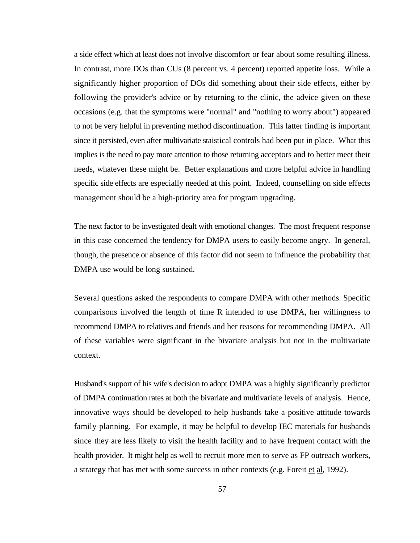a side effect which at least does not involve discomfort or fear about some resulting illness. In contrast, more DOs than CUs (8 percent vs. 4 percent) reported appetite loss. While a significantly higher proportion of DOs did something about their side effects, either by following the provider's advice or by returning to the clinic, the advice given on these occasions (e.g. that the symptoms were "normal" and "nothing to worry about") appeared to not be very helpful in preventing method discontinuation. This latter finding is important since it persisted, even after multivariate staistical controls had been put in place. What this implies is the need to pay more attention to those returning acceptors and to better meet their needs, whatever these might be. Better explanations and more helpful advice in handling specific side effects are especially needed at this point. Indeed, counselling on side effects management should be a high-priority area for program upgrading.

The next factor to be investigated dealt with emotional changes. The most frequent response in this case concerned the tendency for DMPA users to easily become angry. In general, though, the presence or absence of this factor did not seem to influence the probability that DMPA use would be long sustained.

Several questions asked the respondents to compare DMPA with other methods. Specific comparisons involved the length of time R intended to use DMPA, her willingness to recommend DMPA to relatives and friends and her reasons for recommending DMPA. All of these variables were significant in the bivariate analysis but not in the multivariate context.

Husband's support of his wife's decision to adopt DMPA was a highly significantly predictor of DMPA continuation rates at both the bivariate and multivariate levels of analysis. Hence, innovative ways should be developed to help husbands take a positive attitude towards family planning. For example, it may be helpful to develop IEC materials for husbands since they are less likely to visit the health facility and to have frequent contact with the health provider. It might help as well to recruit more men to serve as FP outreach workers, a strategy that has met with some success in other contexts (e.g. Foreit et al, 1992).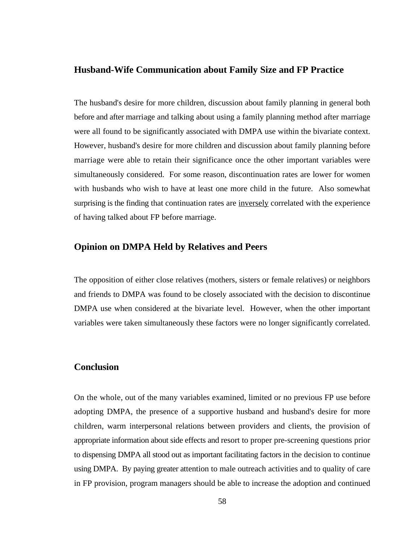#### **Husband-Wife Communication about Family Size and FP Practice**

The husband's desire for more children, discussion about family planning in general both before and after marriage and talking about using a family planning method after marriage were all found to be significantly associated with DMPA use within the bivariate context. However, husband's desire for more children and discussion about family planning before marriage were able to retain their significance once the other important variables were simultaneously considered. For some reason, discontinuation rates are lower for women with husbands who wish to have at least one more child in the future. Also somewhat surprising is the finding that continuation rates are inversely correlated with the experience of having talked about FP before marriage.

#### **Opinion on DMPA Held by Relatives and Peers**

The opposition of either close relatives (mothers, sisters or female relatives) or neighbors and friends to DMPA was found to be closely associated with the decision to discontinue DMPA use when considered at the bivariate level. However, when the other important variables were taken simultaneously these factors were no longer significantly correlated.

### **Conclusion**

On the whole, out of the many variables examined, limited or no previous FP use before adopting DMPA, the presence of a supportive husband and husband's desire for more children, warm interpersonal relations between providers and clients, the provision of appropriate information about side effects and resort to proper pre-screening questions prior to dispensing DMPA all stood out as important facilitating factors in the decision to continue using DMPA. By paying greater attention to male outreach activities and to quality of care in FP provision, program managers should be able to increase the adoption and continued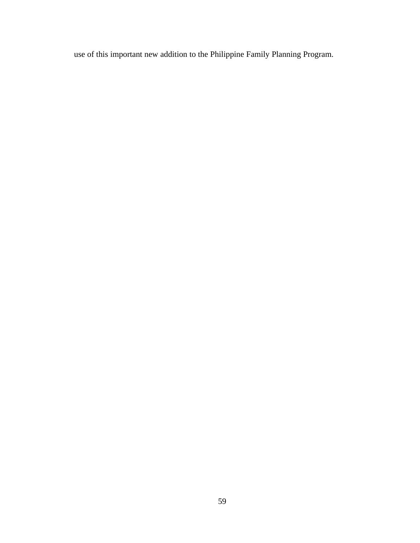use of this important new addition to the Philippine Family Planning Program.